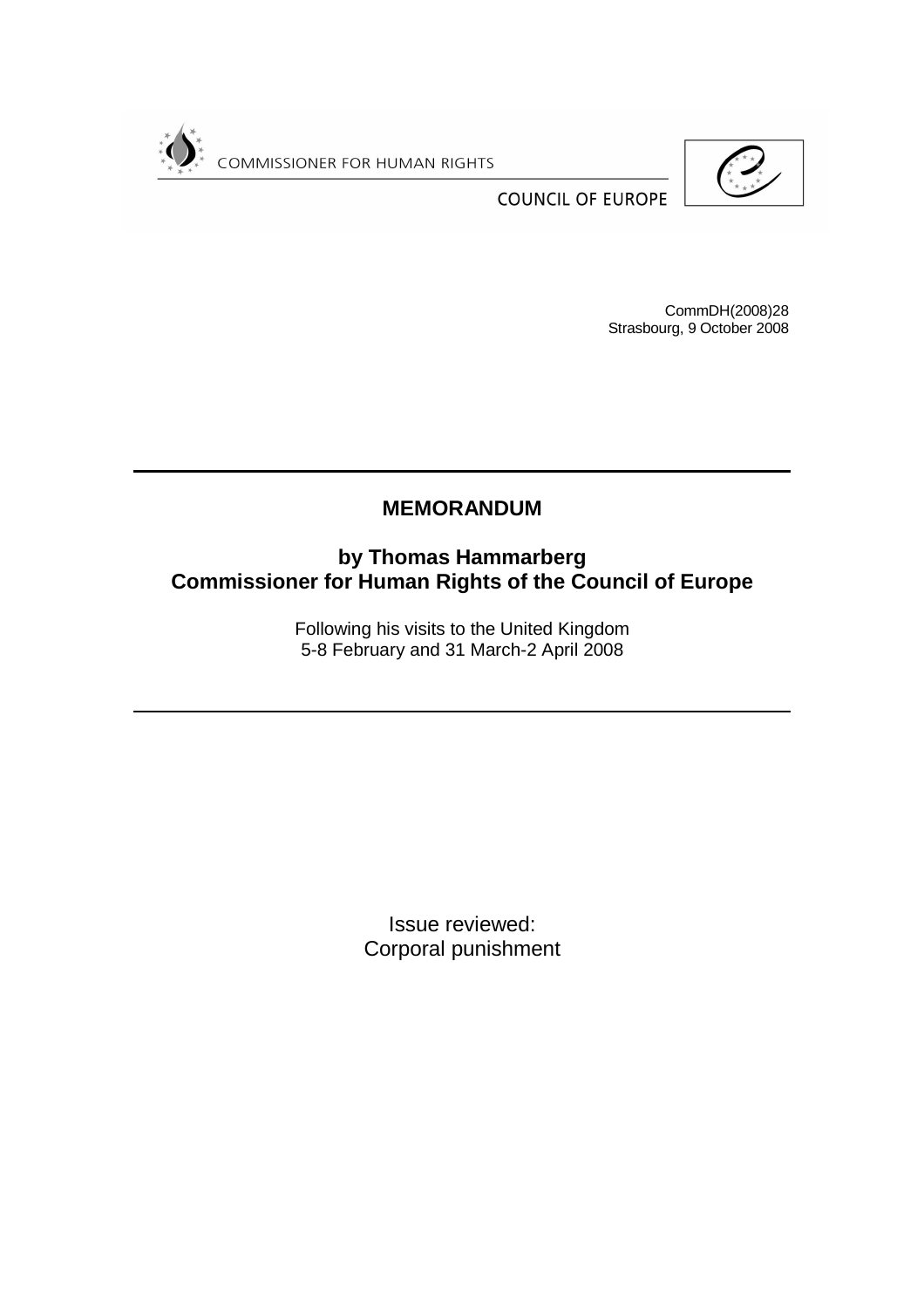



**COUNCIL OF EUROPE** 

CommDH(2008)28 Strasbourg, 9 October 2008

# **MEMORANDUM**

**by Thomas Hammarberg Commissioner for Human Rights of the Council of Europe** 

> Following his visits to the United Kingdom 5-8 February and 31 March-2 April 2008

> > Issue reviewed: Corporal punishment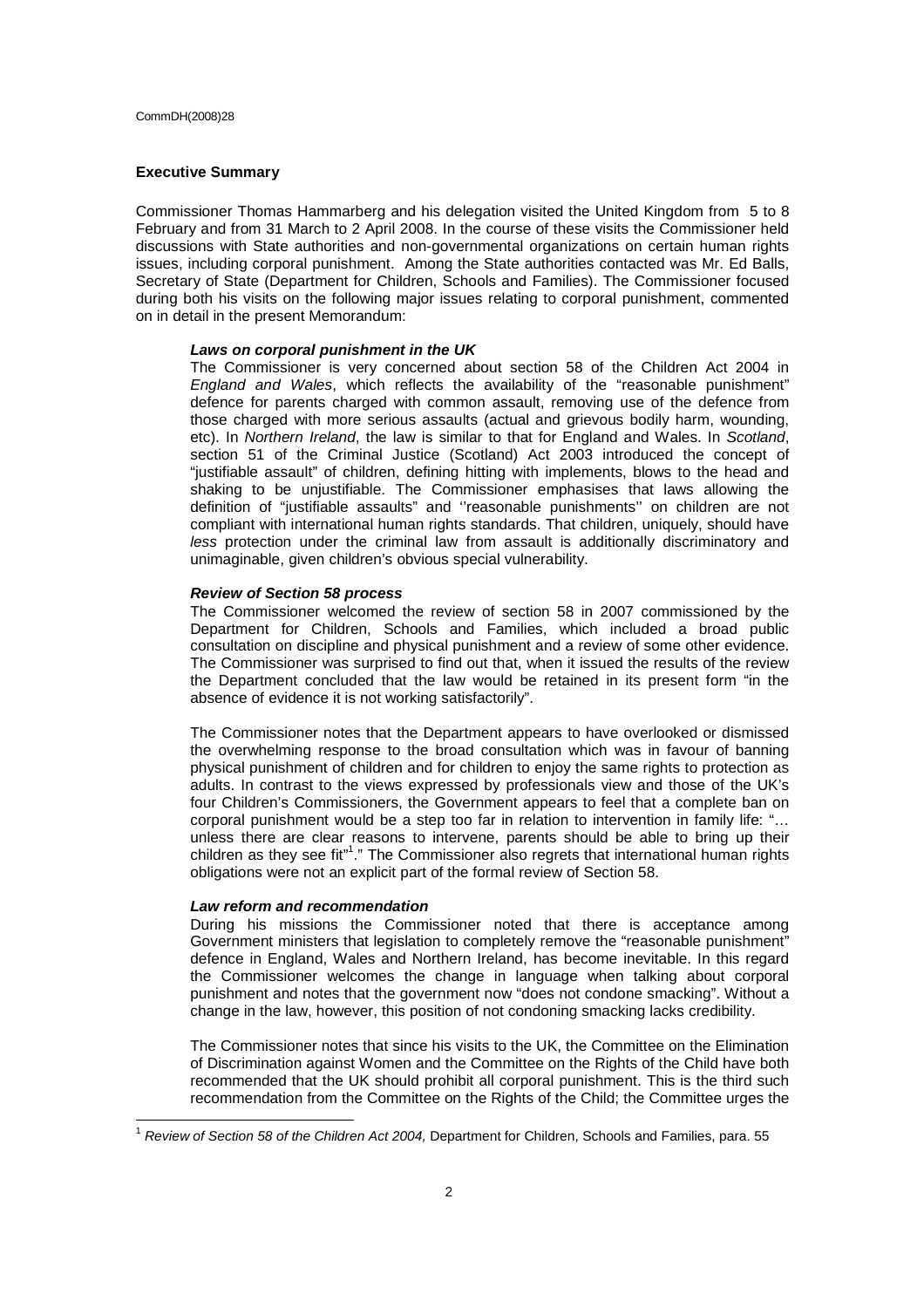#### **Executive Summary**

Commissioner Thomas Hammarberg and his delegation visited the United Kingdom from 5 to 8 February and from 31 March to 2 April 2008. In the course of these visits the Commissioner held discussions with State authorities and non-governmental organizations on certain human rights issues, including corporal punishment. Among the State authorities contacted was Mr. Ed Balls, Secretary of State (Department for Children, Schools and Families). The Commissioner focused during both his visits on the following major issues relating to corporal punishment, commented on in detail in the present Memorandum:

### **Laws on corporal punishment in the UK**

The Commissioner is very concerned about section 58 of the Children Act 2004 in England and Wales, which reflects the availability of the "reasonable punishment" defence for parents charged with common assault, removing use of the defence from those charged with more serious assaults (actual and grievous bodily harm, wounding, etc). In Northern Ireland, the law is similar to that for England and Wales. In Scotland, section 51 of the Criminal Justice (Scotland) Act 2003 introduced the concept of "justifiable assault" of children, defining hitting with implements, blows to the head and shaking to be unjustifiable. The Commissioner emphasises that laws allowing the definition of "justifiable assaults" and ''reasonable punishments'' on children are not compliant with international human rights standards. That children, uniquely, should have less protection under the criminal law from assault is additionally discriminatory and unimaginable, given children's obvious special vulnerability.

# **Review of Section 58 process**

The Commissioner welcomed the review of section 58 in 2007 commissioned by the Department for Children, Schools and Families, which included a broad public consultation on discipline and physical punishment and a review of some other evidence. The Commissioner was surprised to find out that, when it issued the results of the review the Department concluded that the law would be retained in its present form "in the absence of evidence it is not working satisfactorily".

The Commissioner notes that the Department appears to have overlooked or dismissed the overwhelming response to the broad consultation which was in favour of banning physical punishment of children and for children to enjoy the same rights to protection as adults. In contrast to the views expressed by professionals view and those of the UK's four Children's Commissioners, the Government appears to feel that a complete ban on corporal punishment would be a step too far in relation to intervention in family life: "… unless there are clear reasons to intervene, parents should be able to bring up their children as they see fit"<sup>1</sup>." The Commissioner also regrets that international human rights obligations were not an explicit part of the formal review of Section 58.

#### **Law reform and recommendation**

 $\overline{1}$ 

During his missions the Commissioner noted that there is acceptance among Government ministers that legislation to completely remove the "reasonable punishment" defence in England, Wales and Northern Ireland, has become inevitable. In this regard the Commissioner welcomes the change in language when talking about corporal punishment and notes that the government now "does not condone smacking". Without a change in the law, however, this position of not condoning smacking lacks credibility.

The Commissioner notes that since his visits to the UK, the Committee on the Elimination of Discrimination against Women and the Committee on the Rights of the Child have both recommended that the UK should prohibit all corporal punishment. This is the third such recommendation from the Committee on the Rights of the Child; the Committee urges the

<sup>&</sup>lt;sup>1</sup> Review of Section 58 of the Children Act 2004, Department for Children, Schools and Families, para. 55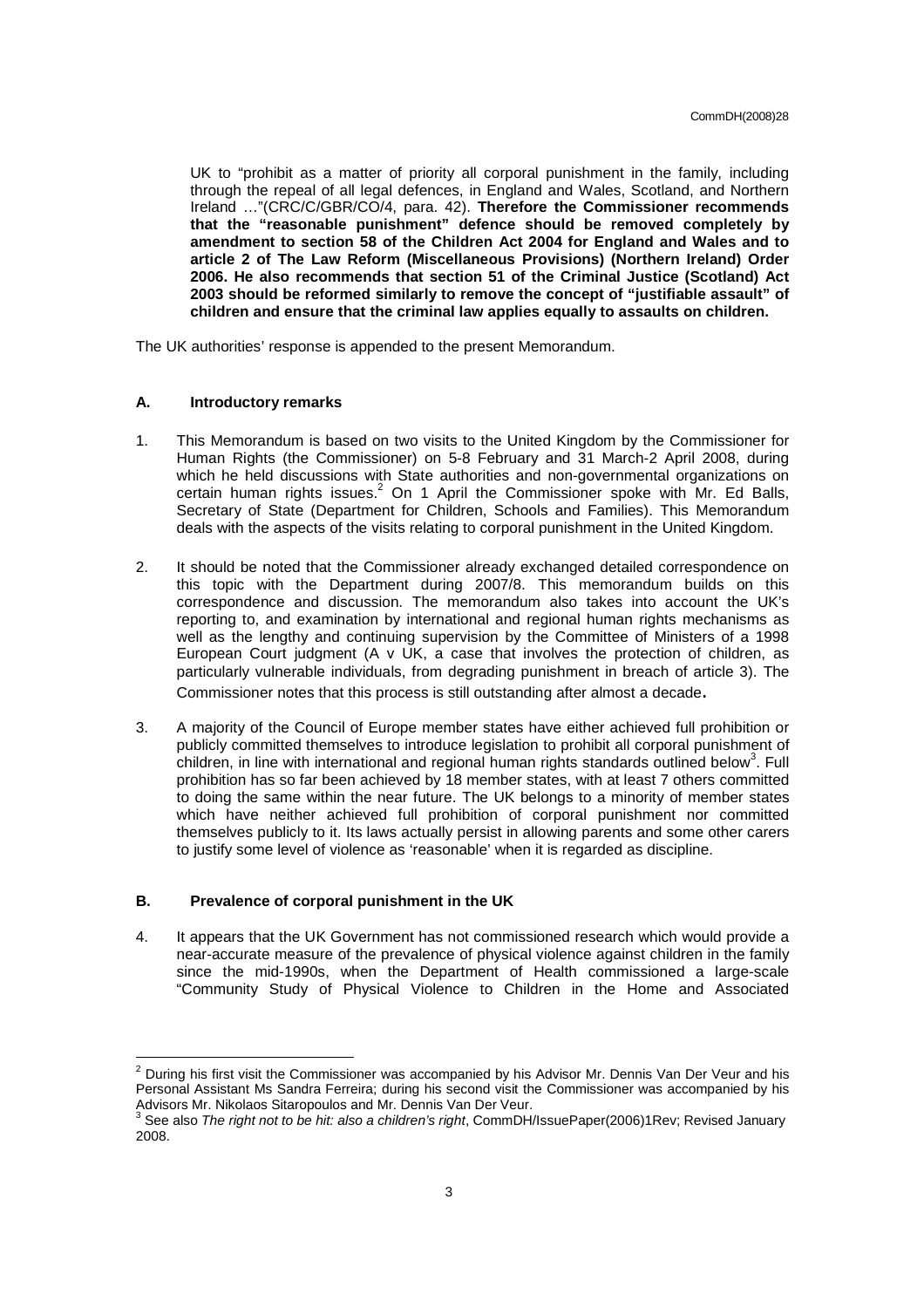UK to "prohibit as a matter of priority all corporal punishment in the family, including through the repeal of all legal defences, in England and Wales, Scotland, and Northern Ireland …"(CRC/C/GBR/CO/4, para. 42). **Therefore the Commissioner recommends that the "reasonable punishment" defence should be removed completely by amendment to section 58 of the Children Act 2004 for England and Wales and to article 2 of The Law Reform (Miscellaneous Provisions) (Northern Ireland) Order 2006. He also recommends that section 51 of the Criminal Justice (Scotland) Act 2003 should be reformed similarly to remove the concept of "justifiable assault" of children and ensure that the criminal law applies equally to assaults on children.** 

The UK authorities' response is appended to the present Memorandum.

### **A. Introductory remarks**

- 1. This Memorandum is based on two visits to the United Kingdom by the Commissioner for Human Rights (the Commissioner) on 5-8 February and 31 March-2 April 2008, during which he held discussions with State authorities and non-governmental organizations on certain human rights issues. $^2$  On 1 April the Commissioner spoke with Mr. Ed Balls, Secretary of State (Department for Children, Schools and Families). This Memorandum deals with the aspects of the visits relating to corporal punishment in the United Kingdom.
- 2. It should be noted that the Commissioner already exchanged detailed correspondence on this topic with the Department during 2007/8. This memorandum builds on this correspondence and discussion. The memorandum also takes into account the UK's reporting to, and examination by international and regional human rights mechanisms as well as the lengthy and continuing supervision by the Committee of Ministers of a 1998 European Court judgment (A v UK, a case that involves the protection of children, as particularly vulnerable individuals, from degrading punishment in breach of article 3). The Commissioner notes that this process is still outstanding after almost a decade.
- 3. A majority of the Council of Europe member states have either achieved full prohibition or publicly committed themselves to introduce legislation to prohibit all corporal punishment of children, in line with international and regional human rights standards outlined below<sup>3</sup>. Full prohibition has so far been achieved by 18 member states, with at least 7 others committed to doing the same within the near future. The UK belongs to a minority of member states which have neither achieved full prohibition of corporal punishment nor committed themselves publicly to it. Its laws actually persist in allowing parents and some other carers to justify some level of violence as 'reasonable' when it is regarded as discipline.

### **B. Prevalence of corporal punishment in the UK**

4. It appears that the UK Government has not commissioned research which would provide a near-accurate measure of the prevalence of physical violence against children in the family since the mid-1990s, when the Department of Health commissioned a large-scale "Community Study of Physical Violence to Children in the Home and Associated

<sup>&</sup>lt;u>2</u><br><sup>2</sup> During his first visit the Commissioner was accompanied by his Advisor Mr. Dennis Van Der Veur and his Personal Assistant Ms Sandra Ferreira; during his second visit the Commissioner was accompanied by his

Advisors Mr. Nikolaos Sitaropoulos and Mr. Dennis Van Der Veur.<br><sup>3</sup> See also *The right not to be hit: also a children's right*, CommDH/IssuePaper(2006)1Rev; Revised January 2008.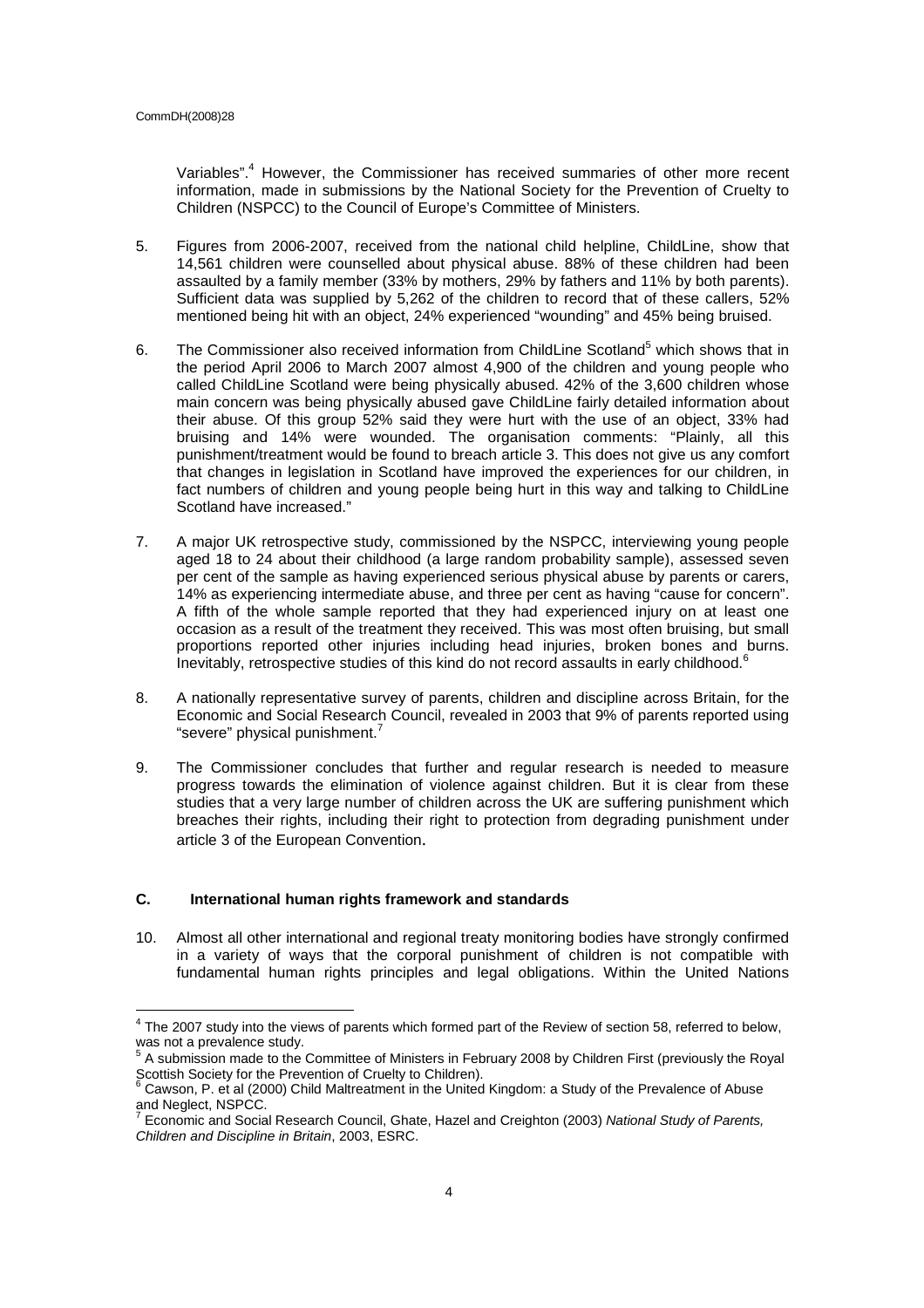Variables".<sup>4</sup> However, the Commissioner has received summaries of other more recent information, made in submissions by the National Society for the Prevention of Cruelty to Children (NSPCC) to the Council of Europe's Committee of Ministers.

- 5. Figures from 2006-2007, received from the national child helpline, ChildLine, show that 14,561 children were counselled about physical abuse. 88% of these children had been assaulted by a family member (33% by mothers, 29% by fathers and 11% by both parents). Sufficient data was supplied by 5,262 of the children to record that of these callers, 52% mentioned being hit with an object, 24% experienced "wounding" and 45% being bruised.
- 6. The Commissioner also received information from ChildLine Scotland<sup>5</sup> which shows that in the period April 2006 to March 2007 almost 4,900 of the children and young people who called ChildLine Scotland were being physically abused. 42% of the 3,600 children whose main concern was being physically abused gave ChildLine fairly detailed information about their abuse. Of this group 52% said they were hurt with the use of an object, 33% had bruising and 14% were wounded. The organisation comments: "Plainly, all this punishment/treatment would be found to breach article 3. This does not give us any comfort that changes in legislation in Scotland have improved the experiences for our children, in fact numbers of children and young people being hurt in this way and talking to ChildLine Scotland have increased."
- 7. A major UK retrospective study, commissioned by the NSPCC, interviewing young people aged 18 to 24 about their childhood (a large random probability sample), assessed seven per cent of the sample as having experienced serious physical abuse by parents or carers, 14% as experiencing intermediate abuse, and three per cent as having "cause for concern". A fifth of the whole sample reported that they had experienced injury on at least one occasion as a result of the treatment they received. This was most often bruising, but small proportions reported other injuries including head injuries, broken bones and burns. Inevitably, retrospective studies of this kind do not record assaults in early childhood.<sup>6</sup>
- 8. A nationally representative survey of parents, children and discipline across Britain, for the Economic and Social Research Council, revealed in 2003 that 9% of parents reported using "severe" physical punishment.
- 9. The Commissioner concludes that further and regular research is needed to measure progress towards the elimination of violence against children. But it is clear from these studies that a very large number of children across the UK are suffering punishment which breaches their rights, including their right to protection from degrading punishment under article 3 of the European Convention.

# **C. International human rights framework and standards**

10. Almost all other international and regional treaty monitoring bodies have strongly confirmed in a variety of ways that the corporal punishment of children is not compatible with fundamental human rights principles and legal obligations. Within the United Nations

 $<sup>4</sup>$  The 2007 study into the views of parents which formed part of the Review of section 58, referred to below,</sup> was not a prevalence study.<br><sup>5</sup> A submission made to the Committee of Ministers in February 2008 by Children First (previously the Royal

Scottish Society for the Prevention of Cruelty to Children).<br><sup>6</sup> Cawson, P. et al (2000) Child Maltreatment in the United Kingdom: a Study of the Prevalence of Abuse

and Neglect, NSPCC.<br><sup>7</sup> Economic and Secial

Economic and Social Research Council, Ghate, Hazel and Creighton (2003) National Study of Parents, Children and Discipline in Britain, 2003, ESRC.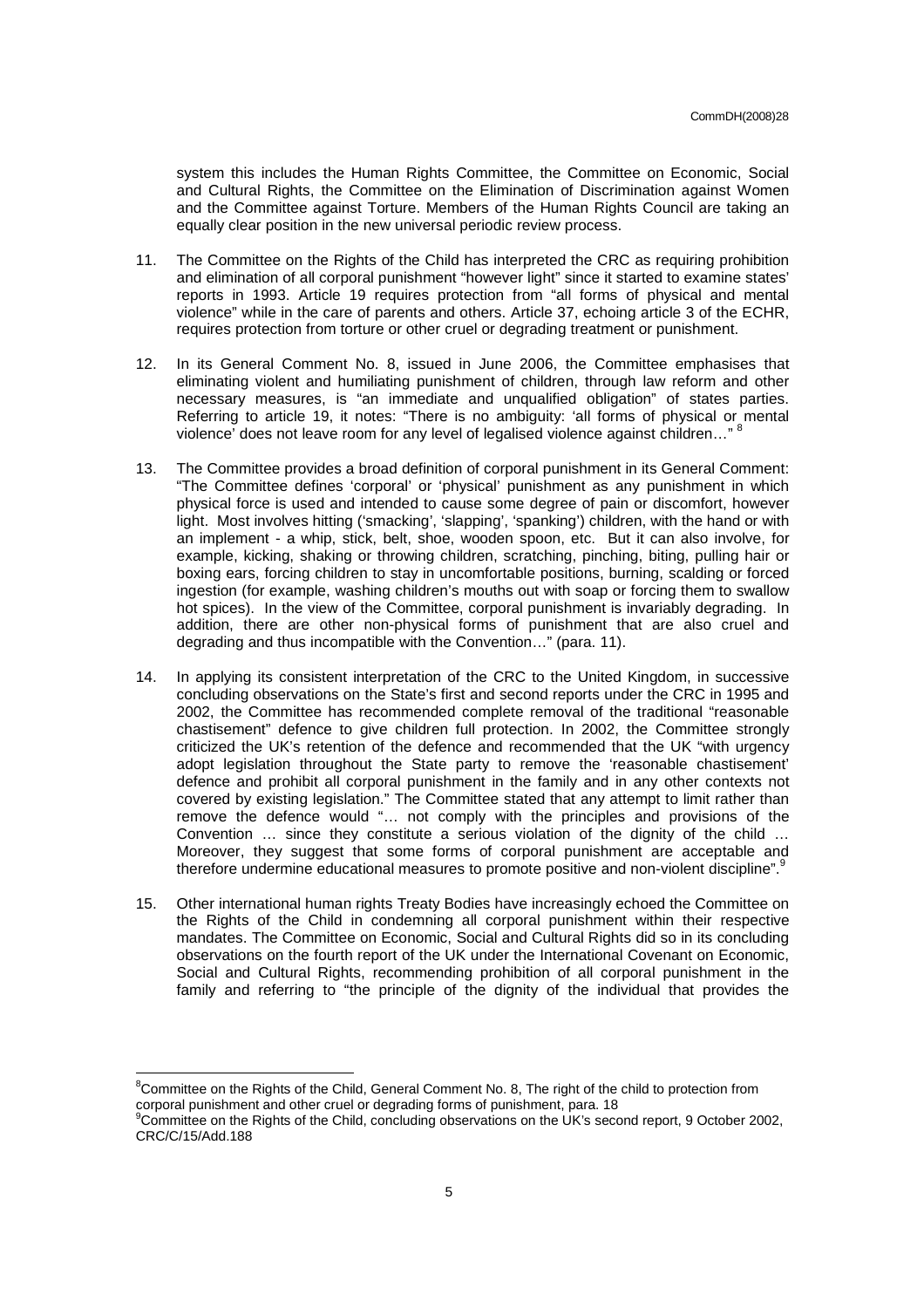system this includes the Human Rights Committee, the Committee on Economic, Social and Cultural Rights, the Committee on the Elimination of Discrimination against Women and the Committee against Torture. Members of the Human Rights Council are taking an equally clear position in the new universal periodic review process.

- 11. The Committee on the Rights of the Child has interpreted the CRC as requiring prohibition and elimination of all corporal punishment "however light" since it started to examine states' reports in 1993. Article 19 requires protection from "all forms of physical and mental violence" while in the care of parents and others. Article 37, echoing article 3 of the ECHR, requires protection from torture or other cruel or degrading treatment or punishment.
- 12. In its General Comment No. 8, issued in June 2006, the Committee emphasises that eliminating violent and humiliating punishment of children, through law reform and other necessary measures, is "an immediate and unqualified obligation" of states parties. Referring to article 19, it notes: "There is no ambiguity: 'all forms of physical or mental violence' does not leave room for any level of legalised violence against children…" <sup>8</sup>
- 13. The Committee provides a broad definition of corporal punishment in its General Comment: "The Committee defines 'corporal' or 'physical' punishment as any punishment in which physical force is used and intended to cause some degree of pain or discomfort, however light. Most involves hitting ('smacking', 'slapping', 'spanking') children, with the hand or with an implement - a whip, stick, belt, shoe, wooden spoon, etc. But it can also involve, for example, kicking, shaking or throwing children, scratching, pinching, biting, pulling hair or boxing ears, forcing children to stay in uncomfortable positions, burning, scalding or forced ingestion (for example, washing children's mouths out with soap or forcing them to swallow hot spices). In the view of the Committee, corporal punishment is invariably degrading. In addition, there are other non-physical forms of punishment that are also cruel and degrading and thus incompatible with the Convention…" (para. 11).
- 14. In applying its consistent interpretation of the CRC to the United Kingdom, in successive concluding observations on the State's first and second reports under the CRC in 1995 and 2002, the Committee has recommended complete removal of the traditional "reasonable chastisement" defence to give children full protection. In 2002, the Committee strongly criticized the UK's retention of the defence and recommended that the UK "with urgency adopt legislation throughout the State party to remove the 'reasonable chastisement' defence and prohibit all corporal punishment in the family and in any other contexts not covered by existing legislation." The Committee stated that any attempt to limit rather than remove the defence would "… not comply with the principles and provisions of the Convention … since they constitute a serious violation of the dignity of the child … Moreover, they suggest that some forms of corporal punishment are acceptable and therefore undermine educational measures to promote positive and non-violent discipline".<sup>9</sup>
- 15. Other international human rights Treaty Bodies have increasingly echoed the Committee on the Rights of the Child in condemning all corporal punishment within their respective mandates. The Committee on Economic, Social and Cultural Rights did so in its concluding observations on the fourth report of the UK under the International Covenant on Economic, Social and Cultural Rights, recommending prohibition of all corporal punishment in the family and referring to "the principle of the dignity of the individual that provides the

 ${}^{8}$ Committee on the Rights of the Child, General Comment No. 8, The right of the child to protection from corporal punishment and other cruel or degrading forms of punishment, para. 18

<sup>&</sup>lt;sup>9</sup>Committee on the Rights of the Child, concluding observations on the UK's second report, 9 October 2002, CRC/C/15/Add.188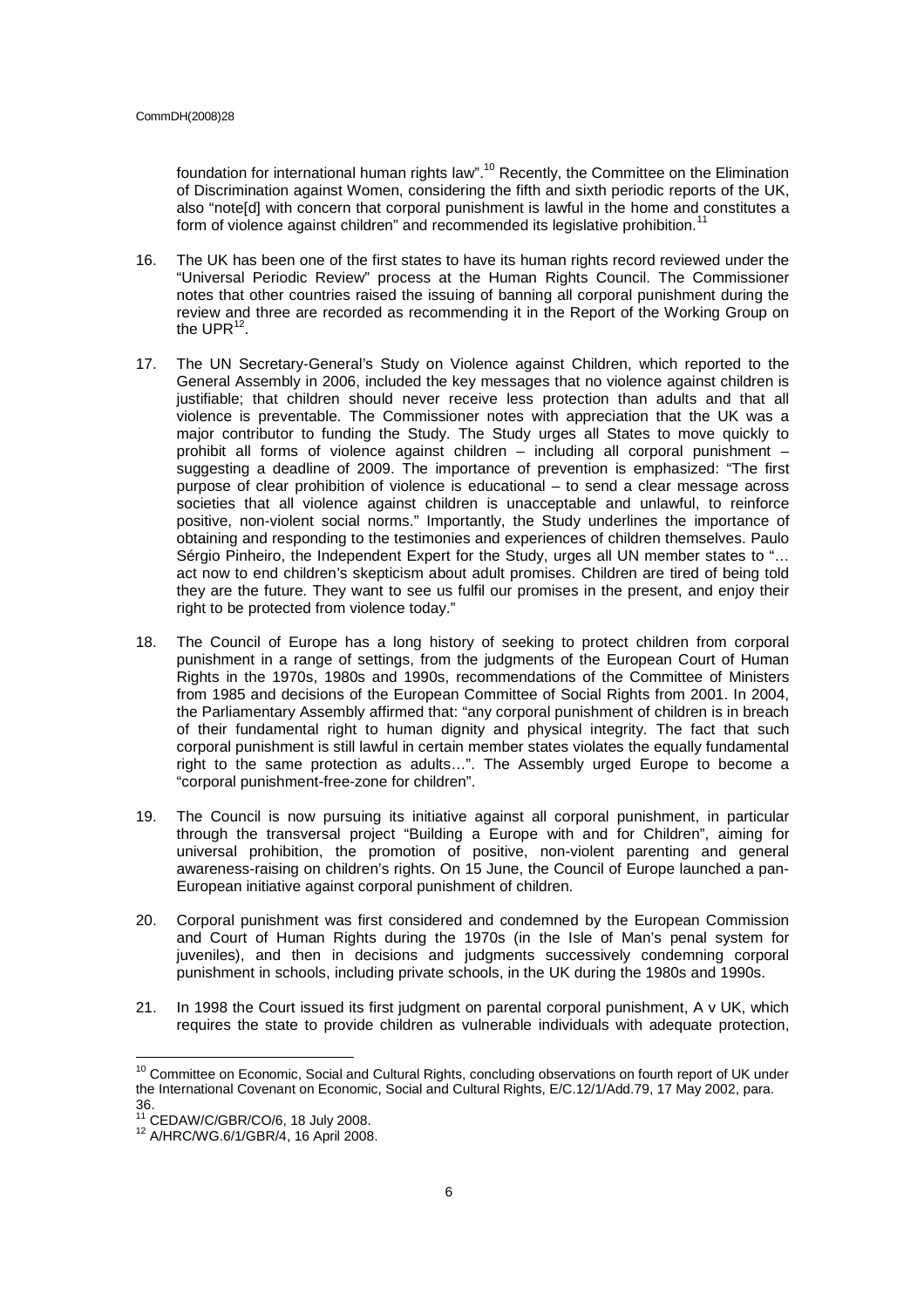foundation for international human rights law".<sup>10</sup> Recently, the Committee on the Elimination of Discrimination against Women, considering the fifth and sixth periodic reports of the UK, also "note[d] with concern that corporal punishment is lawful in the home and constitutes a form of violence against children" and recommended its legislative prohibition.

- 16. The UK has been one of the first states to have its human rights record reviewed under the "Universal Periodic Review" process at the Human Rights Council. The Commissioner notes that other countries raised the issuing of banning all corporal punishment during the review and three are recorded as recommending it in the Report of the Working Group on the UPR $^{12}$ .
- 17. The UN Secretary-General's Study on Violence against Children, which reported to the General Assembly in 2006, included the key messages that no violence against children is justifiable; that children should never receive less protection than adults and that all violence is preventable. The Commissioner notes with appreciation that the UK was a major contributor to funding the Study. The Study urges all States to move quickly to prohibit all forms of violence against children – including all corporal punishment – suggesting a deadline of 2009. The importance of prevention is emphasized: "The first purpose of clear prohibition of violence is educational – to send a clear message across societies that all violence against children is unacceptable and unlawful, to reinforce positive, non-violent social norms." Importantly, the Study underlines the importance of obtaining and responding to the testimonies and experiences of children themselves. Paulo Sérgio Pinheiro, the Independent Expert for the Study, urges all UN member states to "… act now to end children's skepticism about adult promises. Children are tired of being told they are the future. They want to see us fulfil our promises in the present, and enjoy their right to be protected from violence today."
- 18. The Council of Europe has a long history of seeking to protect children from corporal punishment in a range of settings, from the judgments of the European Court of Human Rights in the 1970s, 1980s and 1990s, recommendations of the Committee of Ministers from 1985 and decisions of the European Committee of Social Rights from 2001. In 2004, the Parliamentary Assembly affirmed that: "any corporal punishment of children is in breach of their fundamental right to human dignity and physical integrity. The fact that such corporal punishment is still lawful in certain member states violates the equally fundamental right to the same protection as adults…". The Assembly urged Europe to become a "corporal punishment-free-zone for children".
- 19. The Council is now pursuing its initiative against all corporal punishment, in particular through the transversal project "Building a Europe with and for Children", aiming for universal prohibition, the promotion of positive, non-violent parenting and general awareness-raising on children's rights. On 15 June, the Council of Europe launched a pan-European initiative against corporal punishment of children.
- 20. Corporal punishment was first considered and condemned by the European Commission and Court of Human Rights during the 1970s (in the Isle of Man's penal system for juveniles), and then in decisions and judgments successively condemning corporal punishment in schools, including private schools, in the UK during the 1980s and 1990s.
- 21. In 1998 the Court issued its first judgment on parental corporal punishment, A v UK, which requires the state to provide children as vulnerable individuals with adequate protection,

<sup>&</sup>lt;sup>10</sup> Committee on Economic, Social and Cultural Rights, concluding observations on fourth report of UK under the International Covenant on Economic, Social and Cultural Rights, E/C.12/1/Add.79, 17 May 2002, para. 36.

<sup>11</sup> CEDAW/C/GBR/CO/6, 18 July 2008. <sup>12</sup> A/HRC/WG.6/1/GBR/4, 16 April 2008.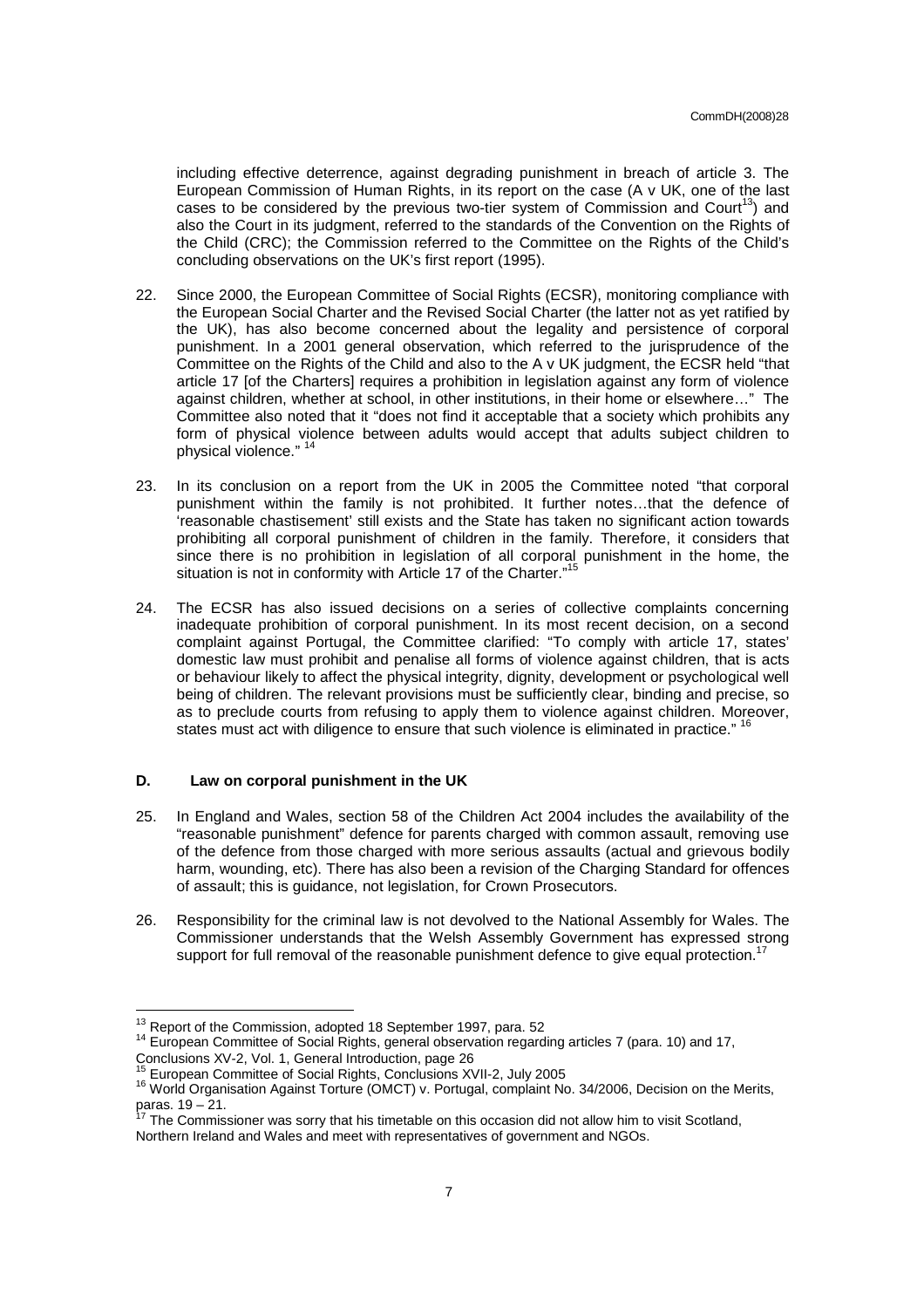including effective deterrence, against degrading punishment in breach of article 3. The European Commission of Human Rights, in its report on the case (A v UK, one of the last cases to be considered by the previous two-tier system of Commission and Court<sup>13</sup>) and also the Court in its judgment, referred to the standards of the Convention on the Rights of the Child (CRC); the Commission referred to the Committee on the Rights of the Child's concluding observations on the UK's first report (1995).

- 22. Since 2000, the European Committee of Social Rights (ECSR), monitoring compliance with the European Social Charter and the Revised Social Charter (the latter not as yet ratified by the UK), has also become concerned about the legality and persistence of corporal punishment. In a 2001 general observation, which referred to the jurisprudence of the Committee on the Rights of the Child and also to the A v UK judgment, the ECSR held "that article 17 [of the Charters] requires a prohibition in legislation against any form of violence against children, whether at school, in other institutions, in their home or elsewhere…" The Committee also noted that it "does not find it acceptable that a society which prohibits any form of physical violence between adults would accept that adults subject children to physical violence." <sup>14</sup>
- 23. In its conclusion on a report from the UK in 2005 the Committee noted "that corporal punishment within the family is not prohibited. It further notes…that the defence of 'reasonable chastisement' still exists and the State has taken no significant action towards prohibiting all corporal punishment of children in the family. Therefore, it considers that since there is no prohibition in legislation of all corporal punishment in the home, the situation is not in conformity with Article 17 of the Charter."<sup>15</sup>
- 24. The ECSR has also issued decisions on a series of collective complaints concerning inadequate prohibition of corporal punishment. In its most recent decision, on a second complaint against Portugal, the Committee clarified: "To comply with article 17, states' domestic law must prohibit and penalise all forms of violence against children, that is acts or behaviour likely to affect the physical integrity, dignity, development or psychological well being of children. The relevant provisions must be sufficiently clear, binding and precise, so as to preclude courts from refusing to apply them to violence against children. Moreover, states must act with diligence to ensure that such violence is eliminated in practice."<sup>16</sup>

# **D. Law on corporal punishment in the UK**

- 25. In England and Wales, section 58 of the Children Act 2004 includes the availability of the "reasonable punishment" defence for parents charged with common assault, removing use of the defence from those charged with more serious assaults (actual and grievous bodily harm, wounding, etc). There has also been a revision of the Charging Standard for offences of assault; this is guidance, not legislation, for Crown Prosecutors.
- 26. Responsibility for the criminal law is not devolved to the National Assembly for Wales. The Commissioner understands that the Welsh Assembly Government has expressed strong support for full removal of the reasonable punishment defence to give equal protection.<sup>1</sup>

 $^{13}$  Report of the Commission, adopted 18 September 1997, para. 52

<sup>14</sup> European Committee of Social Rights, general observation regarding articles 7 (para. 10) and 17, Conclusions XV-2, Vol. 1, General Introduction, page 26

<sup>15</sup> European Committee of Social Rights, Conclusions XVII-2, July 2005

<sup>16</sup> World Organisation Against Torture (OMCT) v. Portugal, complaint No. 34/2006, Decision on the Merits, paras.  $19 - 21$ .

The Commissioner was sorry that his timetable on this occasion did not allow him to visit Scotland, Northern Ireland and Wales and meet with representatives of government and NGOs.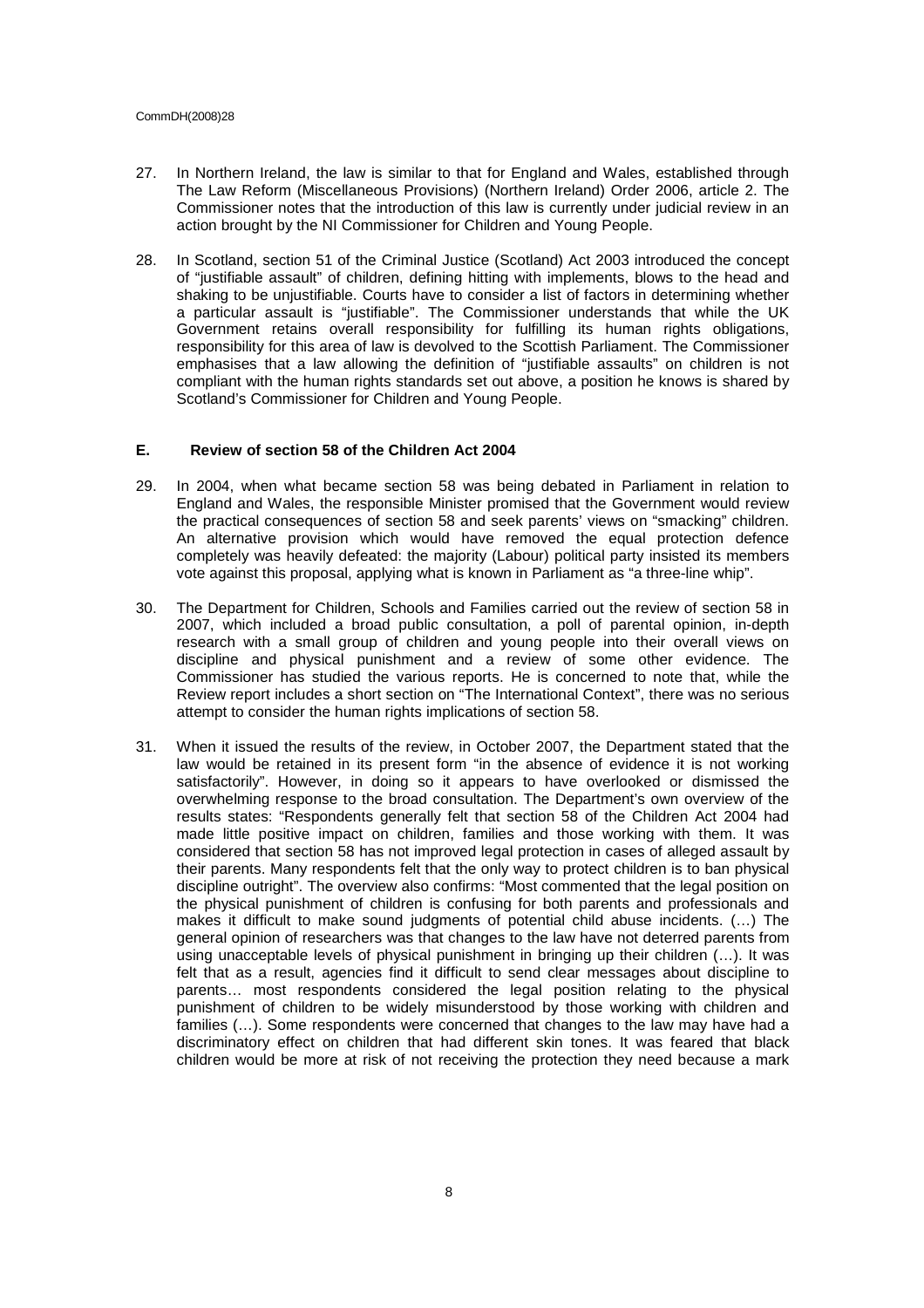#### CommDH(2008)28

- 27. In Northern Ireland, the law is similar to that for England and Wales, established through The Law Reform (Miscellaneous Provisions) (Northern Ireland) Order 2006, article 2. The Commissioner notes that the introduction of this law is currently under judicial review in an action brought by the NI Commissioner for Children and Young People.
- 28. In Scotland, section 51 of the Criminal Justice (Scotland) Act 2003 introduced the concept of "justifiable assault" of children, defining hitting with implements, blows to the head and shaking to be unjustifiable. Courts have to consider a list of factors in determining whether a particular assault is "justifiable". The Commissioner understands that while the UK Government retains overall responsibility for fulfilling its human rights obligations, responsibility for this area of law is devolved to the Scottish Parliament. The Commissioner emphasises that a law allowing the definition of "justifiable assaults" on children is not compliant with the human rights standards set out above, a position he knows is shared by Scotland's Commissioner for Children and Young People.

# **E. Review of section 58 of the Children Act 2004**

- 29. In 2004, when what became section 58 was being debated in Parliament in relation to England and Wales, the responsible Minister promised that the Government would review the practical consequences of section 58 and seek parents' views on "smacking" children. An alternative provision which would have removed the equal protection defence completely was heavily defeated: the majority (Labour) political party insisted its members vote against this proposal, applying what is known in Parliament as "a three-line whip".
- 30. The Department for Children, Schools and Families carried out the review of section 58 in 2007, which included a broad public consultation, a poll of parental opinion, in-depth research with a small group of children and young people into their overall views on discipline and physical punishment and a review of some other evidence. The Commissioner has studied the various reports. He is concerned to note that, while the Review report includes a short section on "The International Context", there was no serious attempt to consider the human rights implications of section 58.
- 31. When it issued the results of the review, in October 2007, the Department stated that the law would be retained in its present form "in the absence of evidence it is not working satisfactorily". However, in doing so it appears to have overlooked or dismissed the overwhelming response to the broad consultation. The Department's own overview of the results states: "Respondents generally felt that section 58 of the Children Act 2004 had made little positive impact on children, families and those working with them. It was considered that section 58 has not improved legal protection in cases of alleged assault by their parents. Many respondents felt that the only way to protect children is to ban physical discipline outright". The overview also confirms: "Most commented that the legal position on the physical punishment of children is confusing for both parents and professionals and makes it difficult to make sound judgments of potential child abuse incidents. (…) The general opinion of researchers was that changes to the law have not deterred parents from using unacceptable levels of physical punishment in bringing up their children (…). It was felt that as a result, agencies find it difficult to send clear messages about discipline to parents… most respondents considered the legal position relating to the physical punishment of children to be widely misunderstood by those working with children and families (…). Some respondents were concerned that changes to the law may have had a discriminatory effect on children that had different skin tones. It was feared that black children would be more at risk of not receiving the protection they need because a mark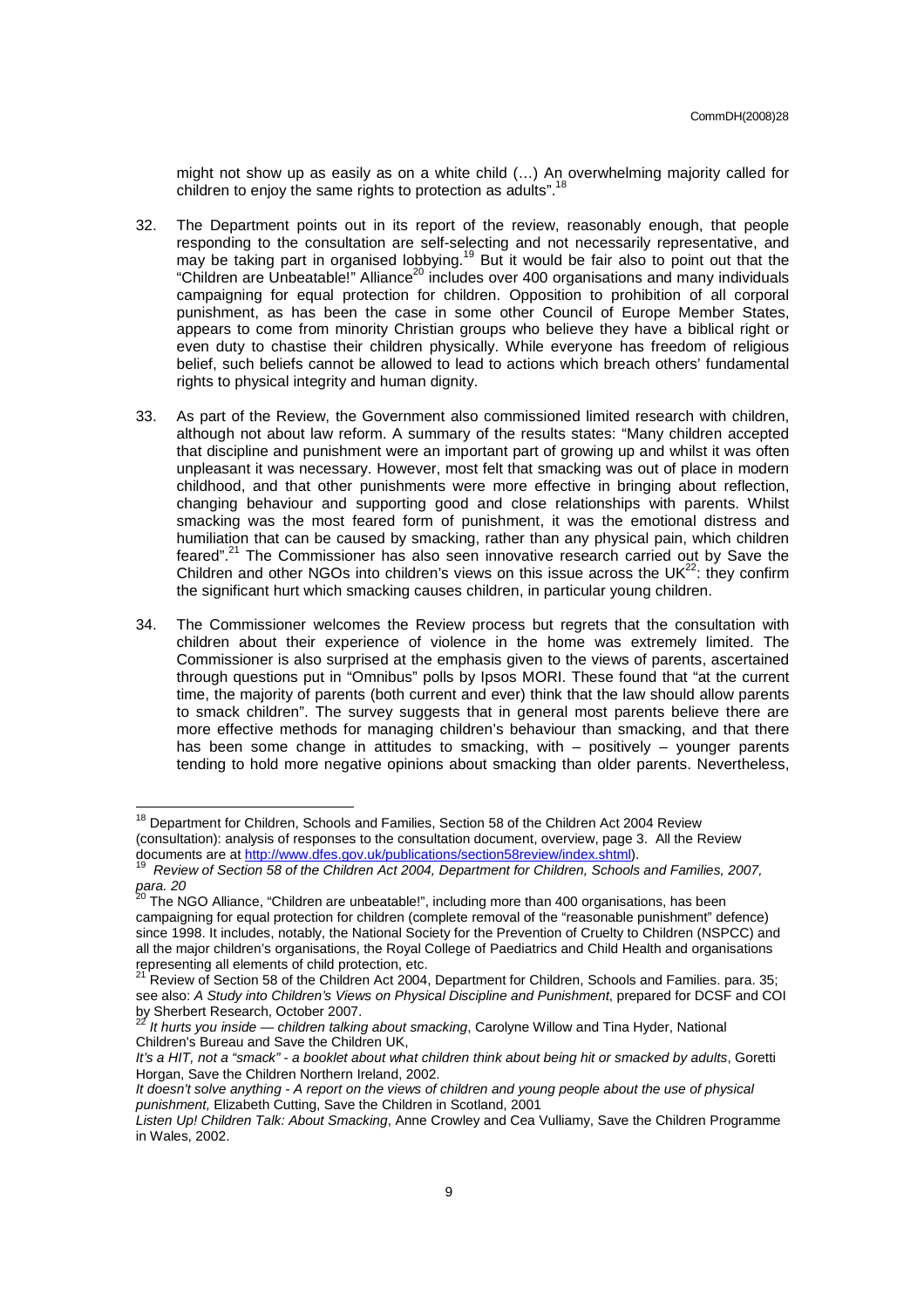might not show up as easily as on a white child (…) An overwhelming majority called for children to enjoy the same rights to protection as adults".<sup>18</sup>

- 32. The Department points out in its report of the review, reasonably enough, that people responding to the consultation are self-selecting and not necessarily representative, and may be taking part in organised lobbying.<sup>19</sup> But it would be fair also to point out that the "Children are Unbeatable!" Alliance<sup>20</sup> includes over 400 organisations and many individuals campaigning for equal protection for children. Opposition to prohibition of all corporal punishment, as has been the case in some other Council of Europe Member States, appears to come from minority Christian groups who believe they have a biblical right or even duty to chastise their children physically. While everyone has freedom of religious belief, such beliefs cannot be allowed to lead to actions which breach others' fundamental rights to physical integrity and human dignity.
- 33. As part of the Review, the Government also commissioned limited research with children, although not about law reform. A summary of the results states: "Many children accepted that discipline and punishment were an important part of growing up and whilst it was often unpleasant it was necessary. However, most felt that smacking was out of place in modern childhood, and that other punishments were more effective in bringing about reflection, changing behaviour and supporting good and close relationships with parents. Whilst smacking was the most feared form of punishment, it was the emotional distress and humiliation that can be caused by smacking, rather than any physical pain, which children feared".<sup>21</sup> The Commissioner has also seen innovative research carried out by Save the Children and other NGOs into children's views on this issue across the UK $^{22}$ : they confirm the significant hurt which smacking causes children, in particular young children.
- 34. The Commissioner welcomes the Review process but regrets that the consultation with children about their experience of violence in the home was extremely limited. The Commissioner is also surprised at the emphasis given to the views of parents, ascertained through questions put in "Omnibus" polls by Ipsos MORI. These found that "at the current time, the majority of parents (both current and ever) think that the law should allow parents to smack children". The survey suggests that in general most parents believe there are more effective methods for managing children's behaviour than smacking, and that there has been some change in attitudes to smacking, with – positively – younger parents tending to hold more negative opinions about smacking than older parents. Nevertheless,

<sup>&</sup>lt;sup>18</sup> Department for Children, Schools and Families, Section 58 of the Children Act 2004 Review (consultation): analysis of responses to the consultation document, overview, page 3. All the Review documents are at <u>http://www.dfes.gov.uk/publications/section58review/index.shtml</u>).<br><sup>19</sup> *Review of Section 58 of the Children Act 2004, Department for Children, Schools and Families, 2007,* 

 $para. 20$ 

The NGO Alliance, "Children are unbeatable!", including more than 400 organisations, has been campaigning for equal protection for children (complete removal of the "reasonable punishment" defence) since 1998. It includes, notably, the National Society for the Prevention of Cruelty to Children (NSPCC) and all the major children's organisations, the Royal College of Paediatrics and Child Health and organisations representing all elements of child protection, etc.

<sup>21</sup> Review of Section 58 of the Children Act 2004, Department for Children, Schools and Families. para. 35; see also: A Study into Children's Views on Physical Discipline and Punishment, prepared for DCSF and COI by Sherbert Research, October 2007.<br><sup>22</sup> It hurts you inside — children talking about smacking, Carolyne Willow and Tina Hyder, National

Children's Bureau and Save the Children UK,

It's a HIT, not a "smack" - a booklet about what children think about being hit or smacked by adults, Goretti Horgan, Save the Children Northern Ireland, 2002.

It doesn't solve anything - A report on the views of children and young people about the use of physical punishment, Elizabeth Cutting, Save the Children in Scotland, 2001

Listen Up! Children Talk: About Smacking, Anne Crowley and Cea Vulliamy, Save the Children Programme in Wales, 2002.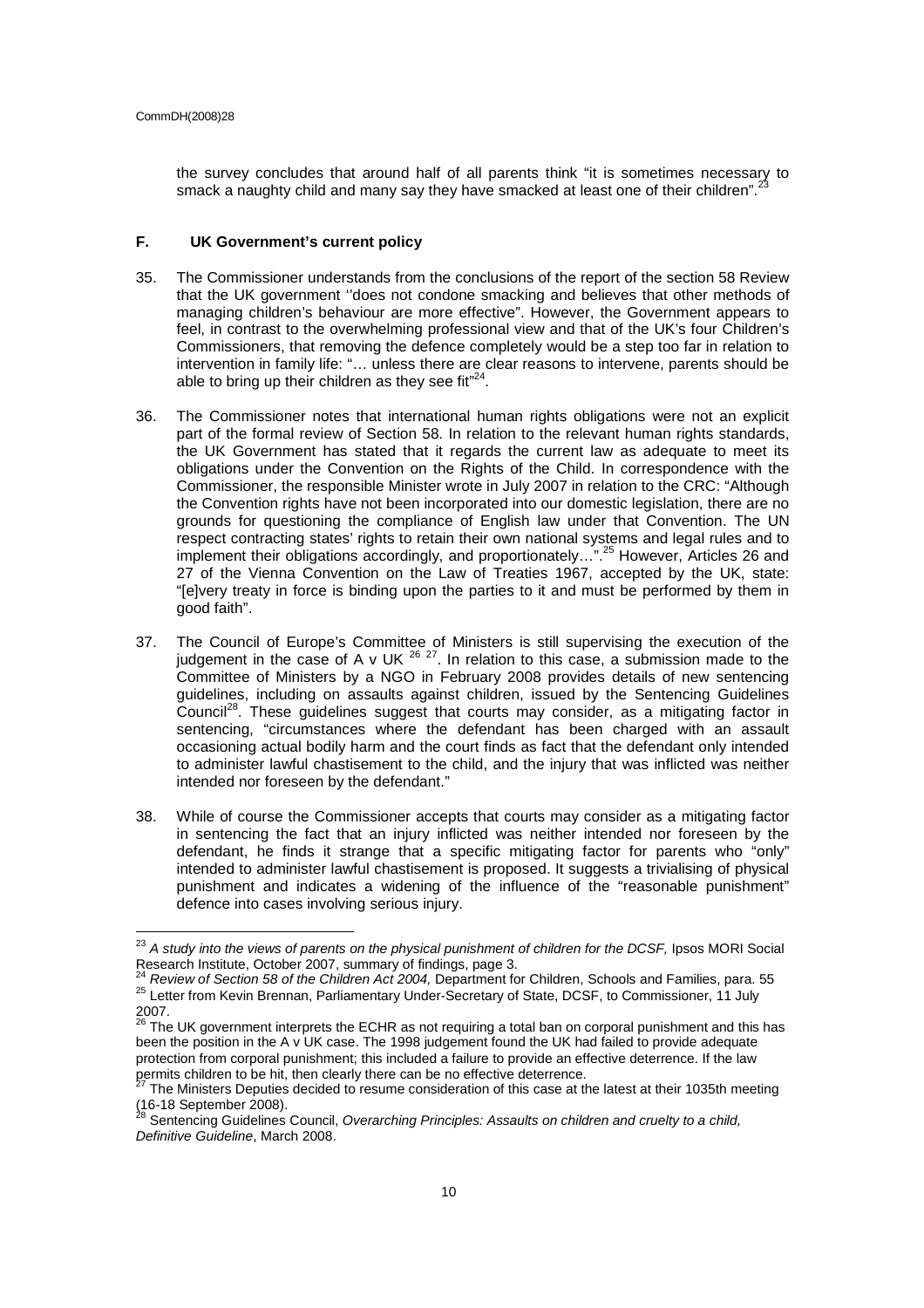$\overline{a}$ 

the survey concludes that around half of all parents think "it is sometimes necessary to smack a naughty child and many say they have smacked at least one of their children".

# **F. UK Government's current policy**

- 35. The Commissioner understands from the conclusions of the report of the section 58 Review that the UK government ''does not condone smacking and believes that other methods of managing children's behaviour are more effective". However, the Government appears to feel, in contrast to the overwhelming professional view and that of the UK's four Children's Commissioners, that removing the defence completely would be a step too far in relation to intervention in family life: "… unless there are clear reasons to intervene, parents should be able to bring up their children as they see fit" $24$ .
- 36. The Commissioner notes that international human rights obligations were not an explicit part of the formal review of Section 58. In relation to the relevant human rights standards, the UK Government has stated that it regards the current law as adequate to meet its obligations under the Convention on the Rights of the Child. In correspondence with the Commissioner, the responsible Minister wrote in July 2007 in relation to the CRC: "Although the Convention rights have not been incorporated into our domestic legislation, there are no grounds for questioning the compliance of English law under that Convention. The UN respect contracting states' rights to retain their own national systems and legal rules and to implement their obligations accordingly, and proportionately...".<sup>25</sup> However, Articles 26 and 27 of the Vienna Convention on the Law of Treaties 1967, accepted by the UK, state: "[e]very treaty in force is binding upon the parties to it and must be performed by them in good faith".
- 37. The Council of Europe's Committee of Ministers is still supervising the execution of the judgement in the case of A v UK  $^{26}$   $^{27}$ . In relation to this case, a submission made to the Committee of Ministers by a NGO in February 2008 provides details of new sentencing guidelines, including on assaults against children, issued by the Sentencing Guidelines Council<sup>28</sup>. These guidelines suggest that courts may consider, as a mitigating factor in sentencing, "circumstances where the defendant has been charged with an assault occasioning actual bodily harm and the court finds as fact that the defendant only intended to administer lawful chastisement to the child, and the injury that was inflicted was neither intended nor foreseen by the defendant."
- 38. While of course the Commissioner accepts that courts may consider as a mitigating factor in sentencing the fact that an injury inflicted was neither intended nor foreseen by the defendant, he finds it strange that a specific mitigating factor for parents who "only" intended to administer lawful chastisement is proposed. It suggests a trivialising of physical punishment and indicates a widening of the influence of the "reasonable punishment" defence into cases involving serious injury.

 $^{23}$  A study into the views of parents on the physical punishment of children for the DCSF, Ipsos MORI Social Research Institute, October 2007, summary of findings, page 3.

<sup>24</sup> Review of Section 58 of the Children Act 2004, Department for Children, Schools and Families, para. 55 <sup>25</sup> Letter from Kevin Brennan, Parliamentary Under-Secretary of State, DCSF, to Commissioner, 11 July 2007.

<sup>&</sup>lt;sup>26</sup> The UK government interprets the ECHR as not requiring a total ban on corporal punishment and this has been the position in the A v UK case. The 1998 judgement found the UK had failed to provide adequate protection from corporal punishment; this included a failure to provide an effective deterrence. If the law permits children to be hit, then clearly there can be no effective deterrence.<br><sup>27</sup> The Ministers Deputies decided to resume consideration of this case at the latest at their 1035th meeting

<sup>(16-18</sup> September 2008).<br><sup>28</sup> Sentencing Guidelines Council, *Overarching Principles: Assaults on children and cruelty to a child,* 

Definitive Guideline, March 2008.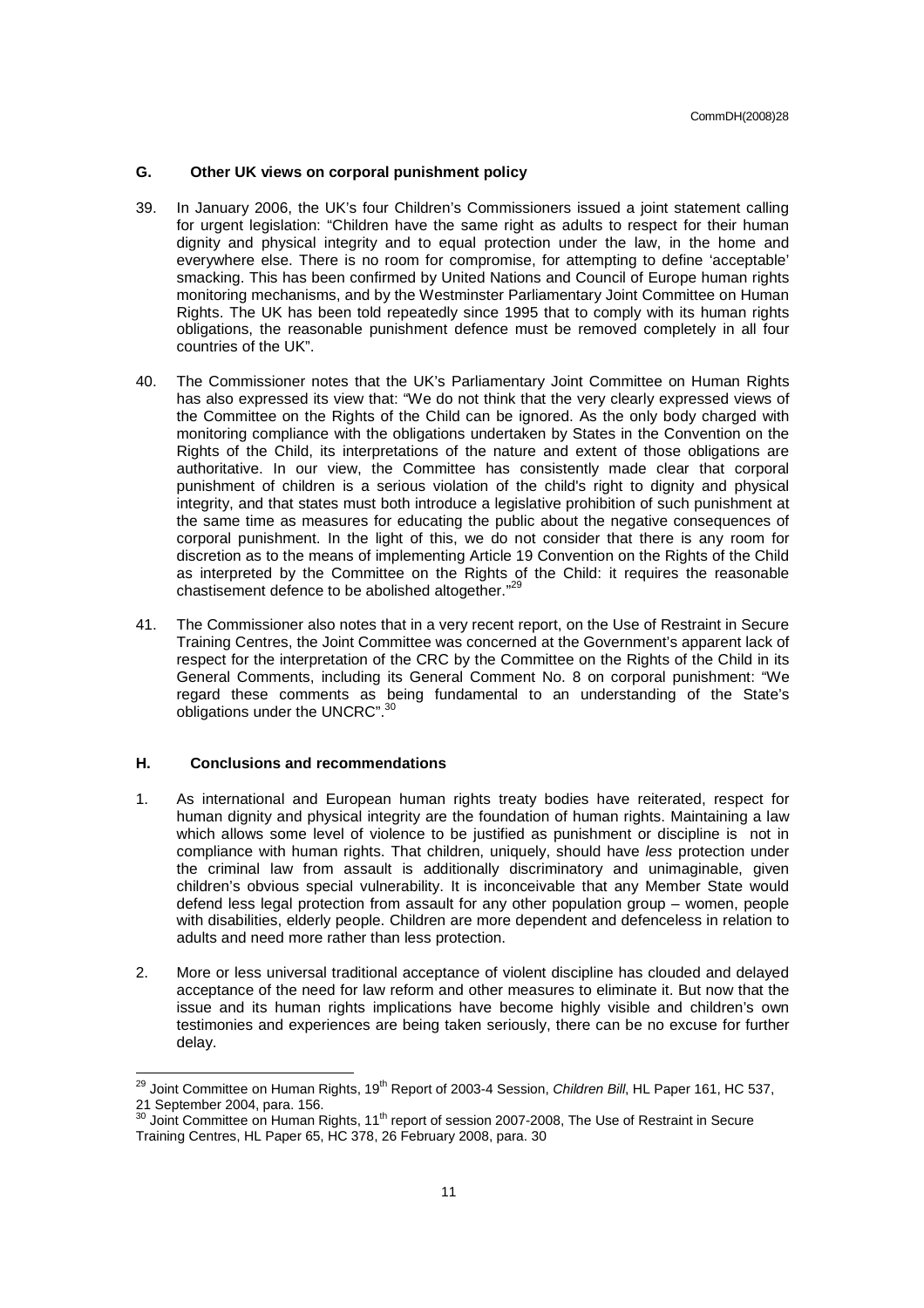# **G. Other UK views on corporal punishment policy**

- 39. In January 2006, the UK's four Children's Commissioners issued a joint statement calling for urgent legislation: "Children have the same right as adults to respect for their human dignity and physical integrity and to equal protection under the law, in the home and everywhere else. There is no room for compromise, for attempting to define 'acceptable' smacking. This has been confirmed by United Nations and Council of Europe human rights monitoring mechanisms, and by the Westminster Parliamentary Joint Committee on Human Rights. The UK has been told repeatedly since 1995 that to comply with its human rights obligations, the reasonable punishment defence must be removed completely in all four countries of the UK".
- 40. The Commissioner notes that the UK's Parliamentary Joint Committee on Human Rights has also expressed its view that: "We do not think that the very clearly expressed views of the Committee on the Rights of the Child can be ignored. As the only body charged with monitoring compliance with the obligations undertaken by States in the Convention on the Rights of the Child, its interpretations of the nature and extent of those obligations are authoritative. In our view, the Committee has consistently made clear that corporal punishment of children is a serious violation of the child's right to dignity and physical integrity, and that states must both introduce a legislative prohibition of such punishment at the same time as measures for educating the public about the negative consequences of corporal punishment. In the light of this, we do not consider that there is any room for discretion as to the means of implementing Article 19 Convention on the Rights of the Child as interpreted by the Committee on the Rights of the Child: it requires the reasonable chastisement defence to be abolished altogether."<sup>29</sup>
- 41. The Commissioner also notes that in a very recent report, on the Use of Restraint in Secure Training Centres, the Joint Committee was concerned at the Government's apparent lack of respect for the interpretation of the CRC by the Committee on the Rights of the Child in its General Comments, including its General Comment No. 8 on corporal punishment: "We regard these comments as being fundamental to an understanding of the State's obligations under the UNCRC".<sup>3</sup>

# **H. Conclusions and recommendations**

- 1. As international and European human rights treaty bodies have reiterated, respect for human dignity and physical integrity are the foundation of human rights. Maintaining a law which allows some level of violence to be justified as punishment or discipline is not in compliance with human rights. That children, uniquely, should have less protection under the criminal law from assault is additionally discriminatory and unimaginable, given children's obvious special vulnerability. It is inconceivable that any Member State would defend less legal protection from assault for any other population group – women, people with disabilities, elderly people. Children are more dependent and defenceless in relation to adults and need more rather than less protection.
- 2. More or less universal traditional acceptance of violent discipline has clouded and delayed acceptance of the need for law reform and other measures to eliminate it. But now that the issue and its human rights implications have become highly visible and children's own testimonies and experiences are being taken seriously, there can be no excuse for further delay.

 $^{29}$  Joint Committee on Human Rights, 19<sup>th</sup> Report of 2003-4 Session, *Children Bill*, HL Paper 161, HC 537, 21 September 2004, para. 156.

 $30$  Joint Committee on Human Rights, 11<sup>th</sup> report of session 2007-2008, The Use of Restraint in Secure Training Centres, HL Paper 65, HC 378, 26 February 2008, para. 30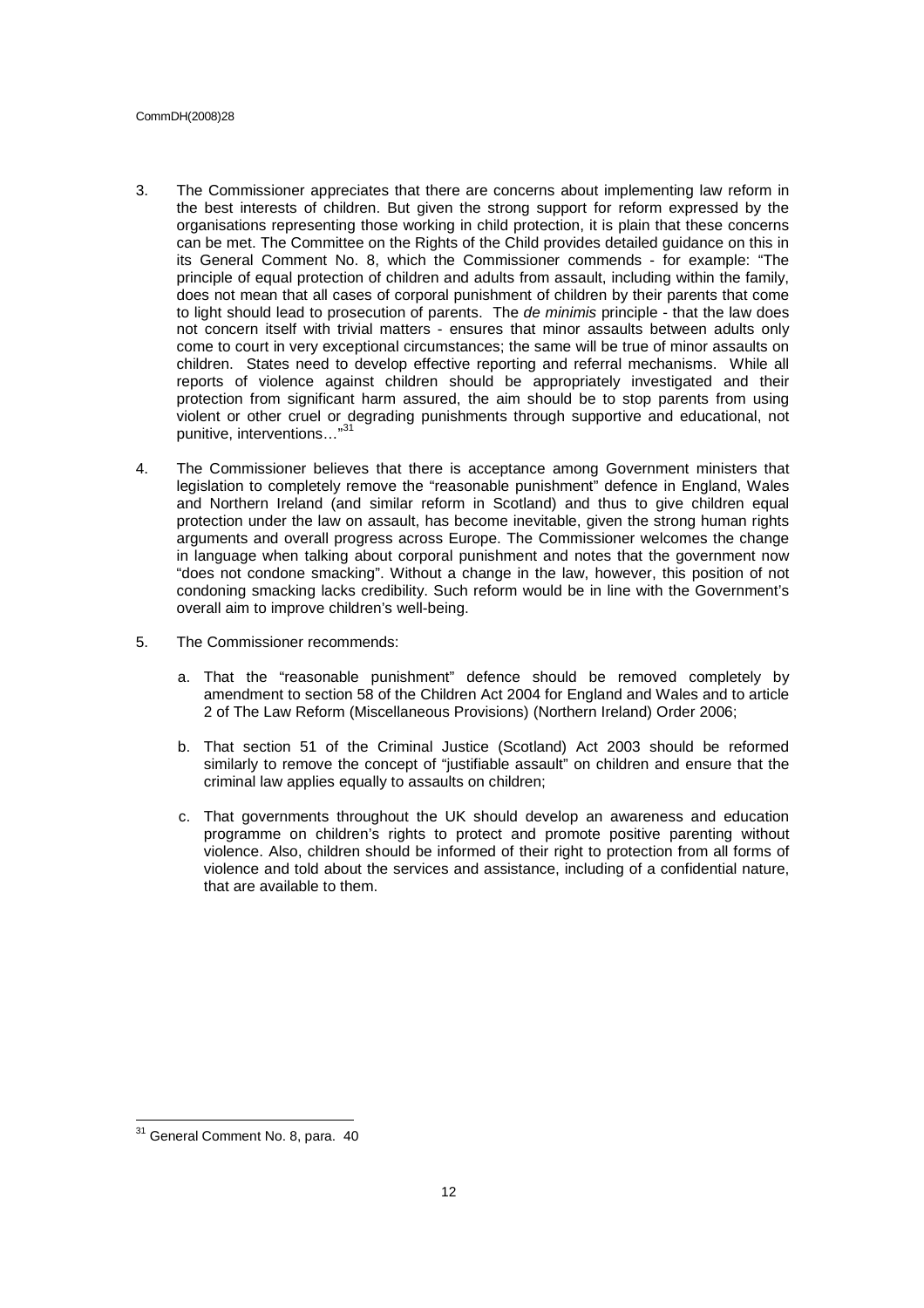#### CommDH(2008)28

- 3. The Commissioner appreciates that there are concerns about implementing law reform in the best interests of children. But given the strong support for reform expressed by the organisations representing those working in child protection, it is plain that these concerns can be met. The Committee on the Rights of the Child provides detailed guidance on this in its General Comment No. 8, which the Commissioner commends - for example: "The principle of equal protection of children and adults from assault, including within the family, does not mean that all cases of corporal punishment of children by their parents that come to light should lead to prosecution of parents. The de minimis principle - that the law does not concern itself with trivial matters - ensures that minor assaults between adults only come to court in very exceptional circumstances; the same will be true of minor assaults on children. States need to develop effective reporting and referral mechanisms. While all reports of violence against children should be appropriately investigated and their protection from significant harm assured, the aim should be to stop parents from using violent or other cruel or degrading punishments through supportive and educational, not punitive, interventions…"<sup>31</sup>
- 4. The Commissioner believes that there is acceptance among Government ministers that legislation to completely remove the "reasonable punishment" defence in England, Wales and Northern Ireland (and similar reform in Scotland) and thus to give children equal protection under the law on assault, has become inevitable, given the strong human rights arguments and overall progress across Europe. The Commissioner welcomes the change in language when talking about corporal punishment and notes that the government now "does not condone smacking". Without a change in the law, however, this position of not condoning smacking lacks credibility. Such reform would be in line with the Government's overall aim to improve children's well-being.
- 5. The Commissioner recommends:
	- a. That the "reasonable punishment" defence should be removed completely by amendment to section 58 of the Children Act 2004 for England and Wales and to article 2 of The Law Reform (Miscellaneous Provisions) (Northern Ireland) Order 2006;
	- b. That section 51 of the Criminal Justice (Scotland) Act 2003 should be reformed similarly to remove the concept of "justifiable assault" on children and ensure that the criminal law applies equally to assaults on children;
	- c. That governments throughout the UK should develop an awareness and education programme on children's rights to protect and promote positive parenting without violence. Also, children should be informed of their right to protection from all forms of violence and told about the services and assistance, including of a confidential nature, that are available to them.

<sup>&</sup>lt;sup>31</sup> General Comment No. 8, para. 40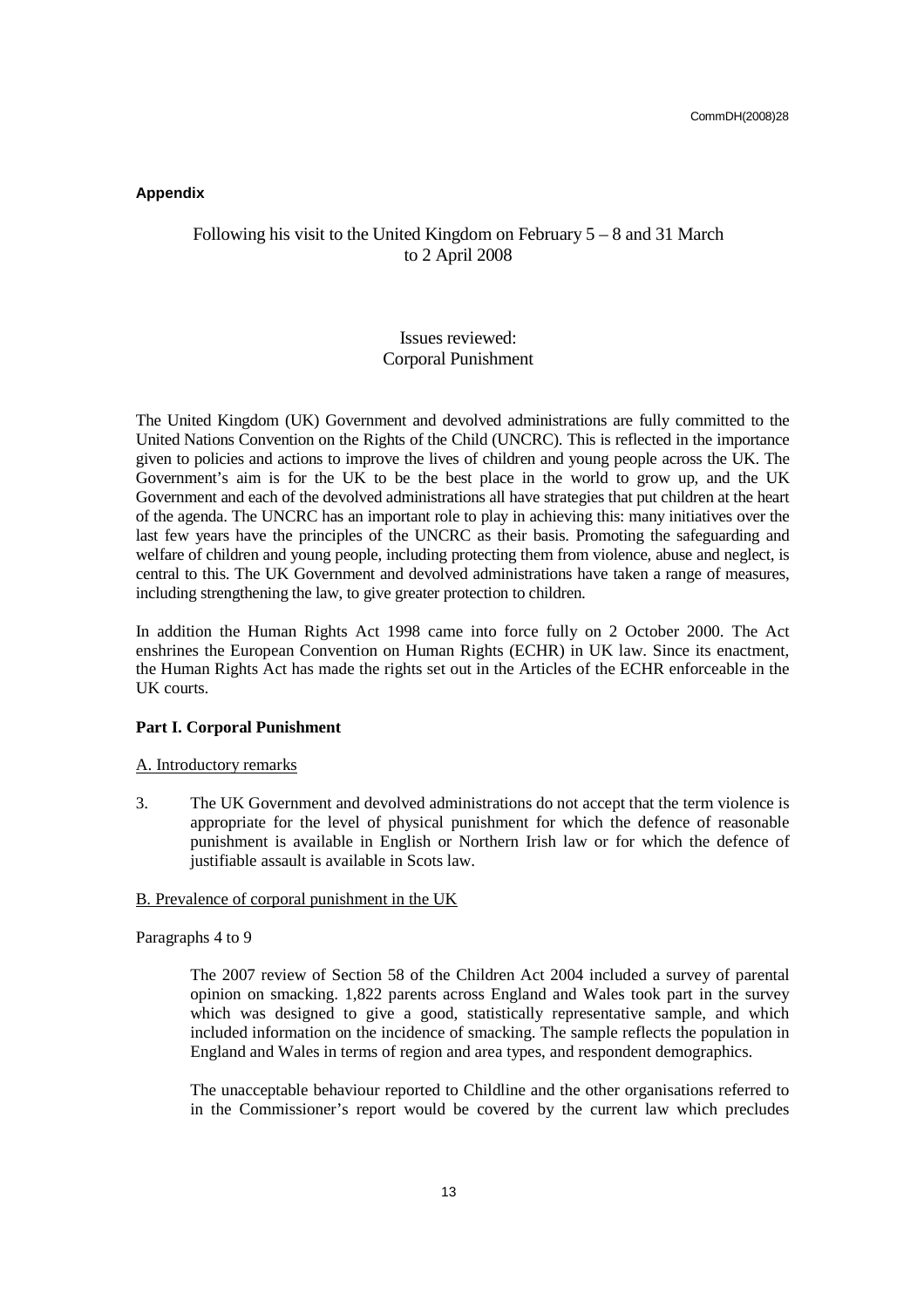# **Appendix**

# Following his visit to the United Kingdom on February 5 – 8 and 31 March to 2 April 2008

# Issues reviewed: Corporal Punishment

The United Kingdom (UK) Government and devolved administrations are fully committed to the United Nations Convention on the Rights of the Child (UNCRC). This is reflected in the importance given to policies and actions to improve the lives of children and young people across the UK. The Government's aim is for the UK to be the best place in the world to grow up, and the UK Government and each of the devolved administrations all have strategies that put children at the heart of the agenda. The UNCRC has an important role to play in achieving this: many initiatives over the last few years have the principles of the UNCRC as their basis. Promoting the safeguarding and welfare of children and young people, including protecting them from violence, abuse and neglect, is central to this. The UK Government and devolved administrations have taken a range of measures, including strengthening the law, to give greater protection to children.

In addition the Human Rights Act 1998 came into force fully on 2 October 2000. The Act enshrines the European Convention on Human Rights (ECHR) in UK law. Since its enactment, the Human Rights Act has made the rights set out in the Articles of the ECHR enforceable in the UK courts.

# **Part I. Corporal Punishment**

# A. Introductory remarks

3. The UK Government and devolved administrations do not accept that the term violence is appropriate for the level of physical punishment for which the defence of reasonable punishment is available in English or Northern Irish law or for which the defence of justifiable assault is available in Scots law.

# B. Prevalence of corporal punishment in the UK

# Paragraphs 4 to 9

The 2007 review of Section 58 of the Children Act 2004 included a survey of parental opinion on smacking. 1,822 parents across England and Wales took part in the survey which was designed to give a good, statistically representative sample, and which included information on the incidence of smacking. The sample reflects the population in England and Wales in terms of region and area types, and respondent demographics.

The unacceptable behaviour reported to Childline and the other organisations referred to in the Commissioner's report would be covered by the current law which precludes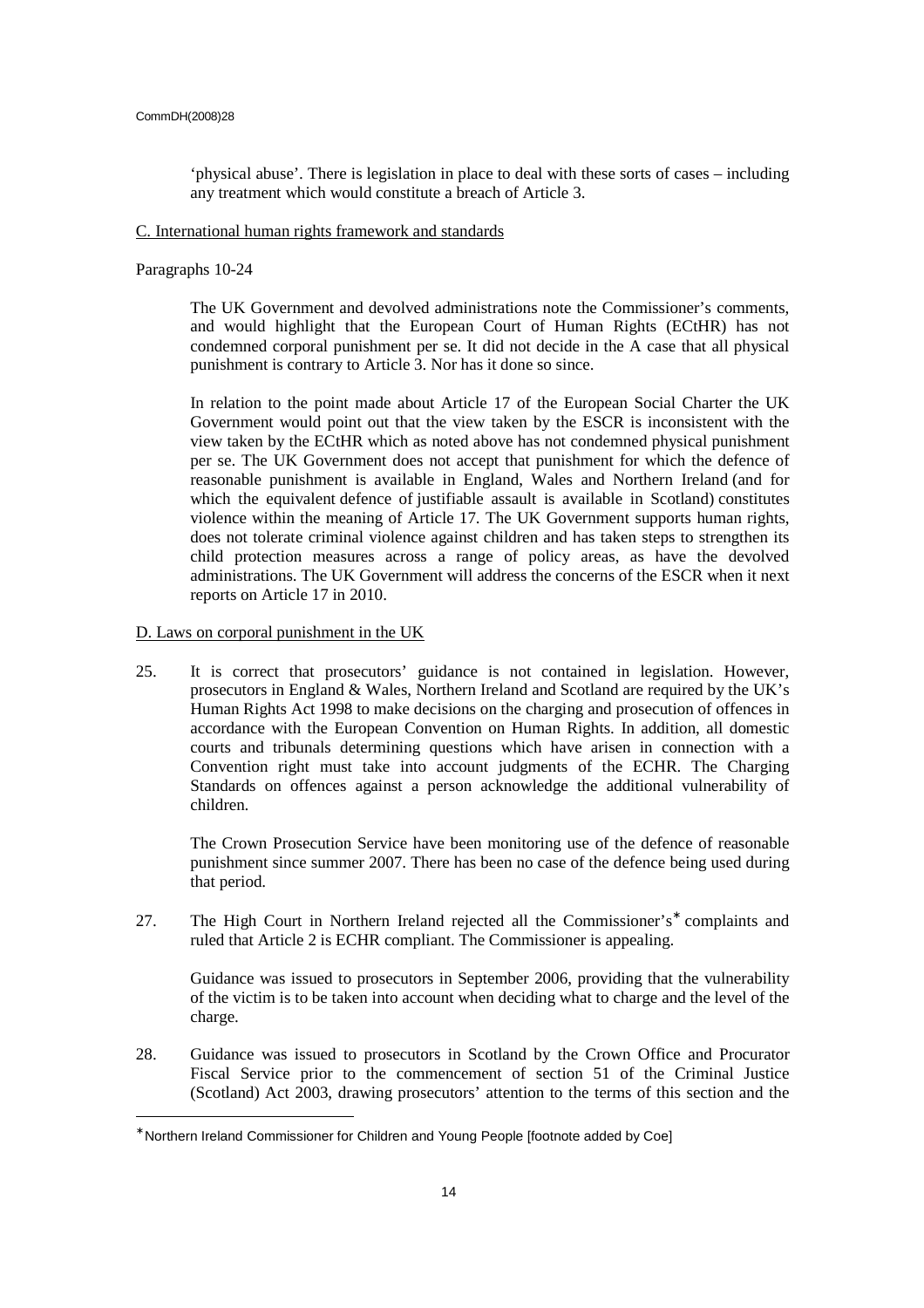'physical abuse'. There is legislation in place to deal with these sorts of cases – including any treatment which would constitute a breach of Article 3.

## C. International human rights framework and standards

Paragraphs 10-24

The UK Government and devolved administrations note the Commissioner's comments, and would highlight that the European Court of Human Rights (ECtHR) has not condemned corporal punishment per se. It did not decide in the A case that all physical punishment is contrary to Article 3. Nor has it done so since.

In relation to the point made about Article 17 of the European Social Charter the UK Government would point out that the view taken by the ESCR is inconsistent with the view taken by the ECtHR which as noted above has not condemned physical punishment per se. The UK Government does not accept that punishment for which the defence of reasonable punishment is available in England, Wales and Northern Ireland (and for which the equivalent defence of justifiable assault is available in Scotland) constitutes violence within the meaning of Article 17. The UK Government supports human rights, does not tolerate criminal violence against children and has taken steps to strengthen its child protection measures across a range of policy areas, as have the devolved administrations. The UK Government will address the concerns of the ESCR when it next reports on Article 17 in 2010.

D. Laws on corporal punishment in the UK

25. It is correct that prosecutors' guidance is not contained in legislation. However, prosecutors in England & Wales, Northern Ireland and Scotland are required by the UK's Human Rights Act 1998 to make decisions on the charging and prosecution of offences in accordance with the European Convention on Human Rights. In addition, all domestic courts and tribunals determining questions which have arisen in connection with a Convention right must take into account judgments of the ECHR. The Charging Standards on offences against a person acknowledge the additional vulnerability of children.

The Crown Prosecution Service have been monitoring use of the defence of reasonable punishment since summer 2007. There has been no case of the defence being used during that period.

27. The High Court in Northern Ireland rejected all the Commissioner's<sup>\*</sup> complaints and ruled that Article 2 is ECHR compliant. The Commissioner is appealing.

 Guidance was issued to prosecutors in September 2006, providing that the vulnerability of the victim is to be taken into account when deciding what to charge and the level of the charge.

28. Guidance was issued to prosecutors in Scotland by the Crown Office and Procurator Fiscal Service prior to the commencement of section 51 of the Criminal Justice (Scotland) Act 2003, drawing prosecutors' attention to the terms of this section and the

<sup>∗</sup> Northern Ireland Commissioner for Children and Young People [footnote added by Coe]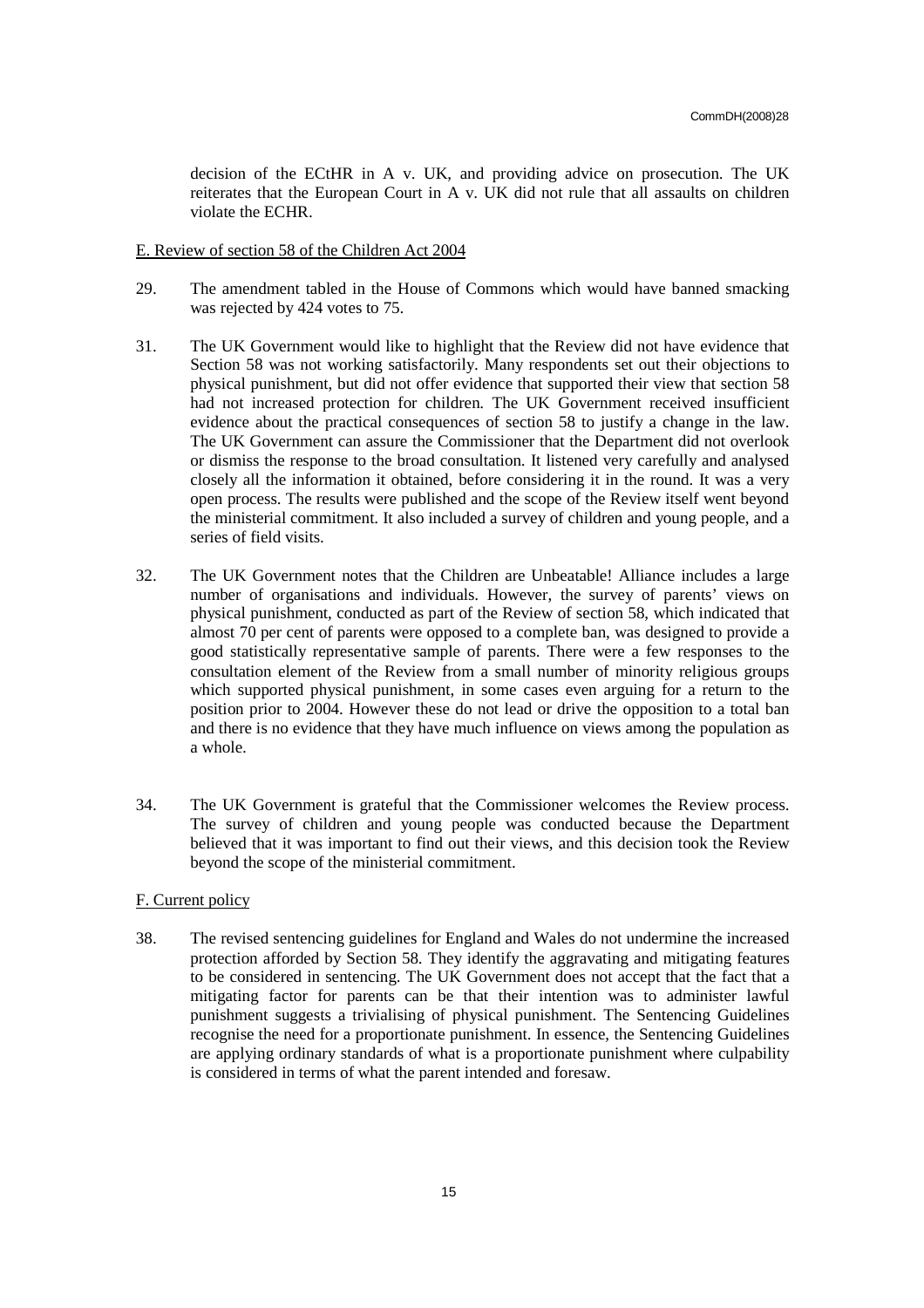decision of the ECtHR in A v. UK, and providing advice on prosecution. The UK reiterates that the European Court in A v. UK did not rule that all assaults on children violate the ECHR.

# E. Review of section 58 of the Children Act 2004

- 29. The amendment tabled in the House of Commons which would have banned smacking was rejected by 424 votes to 75.
- 31. The UK Government would like to highlight that the Review did not have evidence that Section 58 was not working satisfactorily. Many respondents set out their objections to physical punishment, but did not offer evidence that supported their view that section 58 had not increased protection for children. The UK Government received insufficient evidence about the practical consequences of section 58 to justify a change in the law. The UK Government can assure the Commissioner that the Department did not overlook or dismiss the response to the broad consultation. It listened very carefully and analysed closely all the information it obtained, before considering it in the round. It was a very open process. The results were published and the scope of the Review itself went beyond the ministerial commitment. It also included a survey of children and young people, and a series of field visits.
- 32. The UK Government notes that the Children are Unbeatable! Alliance includes a large number of organisations and individuals. However, the survey of parents' views on physical punishment, conducted as part of the Review of section 58, which indicated that almost 70 per cent of parents were opposed to a complete ban, was designed to provide a good statistically representative sample of parents. There were a few responses to the consultation element of the Review from a small number of minority religious groups which supported physical punishment, in some cases even arguing for a return to the position prior to 2004. However these do not lead or drive the opposition to a total ban and there is no evidence that they have much influence on views among the population as a whole.
- 34. The UK Government is grateful that the Commissioner welcomes the Review process. The survey of children and young people was conducted because the Department believed that it was important to find out their views, and this decision took the Review beyond the scope of the ministerial commitment.

# F. Current policy

38. The revised sentencing guidelines for England and Wales do not undermine the increased protection afforded by Section 58. They identify the aggravating and mitigating features to be considered in sentencing. The UK Government does not accept that the fact that a mitigating factor for parents can be that their intention was to administer lawful punishment suggests a trivialising of physical punishment. The Sentencing Guidelines recognise the need for a proportionate punishment. In essence, the Sentencing Guidelines are applying ordinary standards of what is a proportionate punishment where culpability is considered in terms of what the parent intended and foresaw.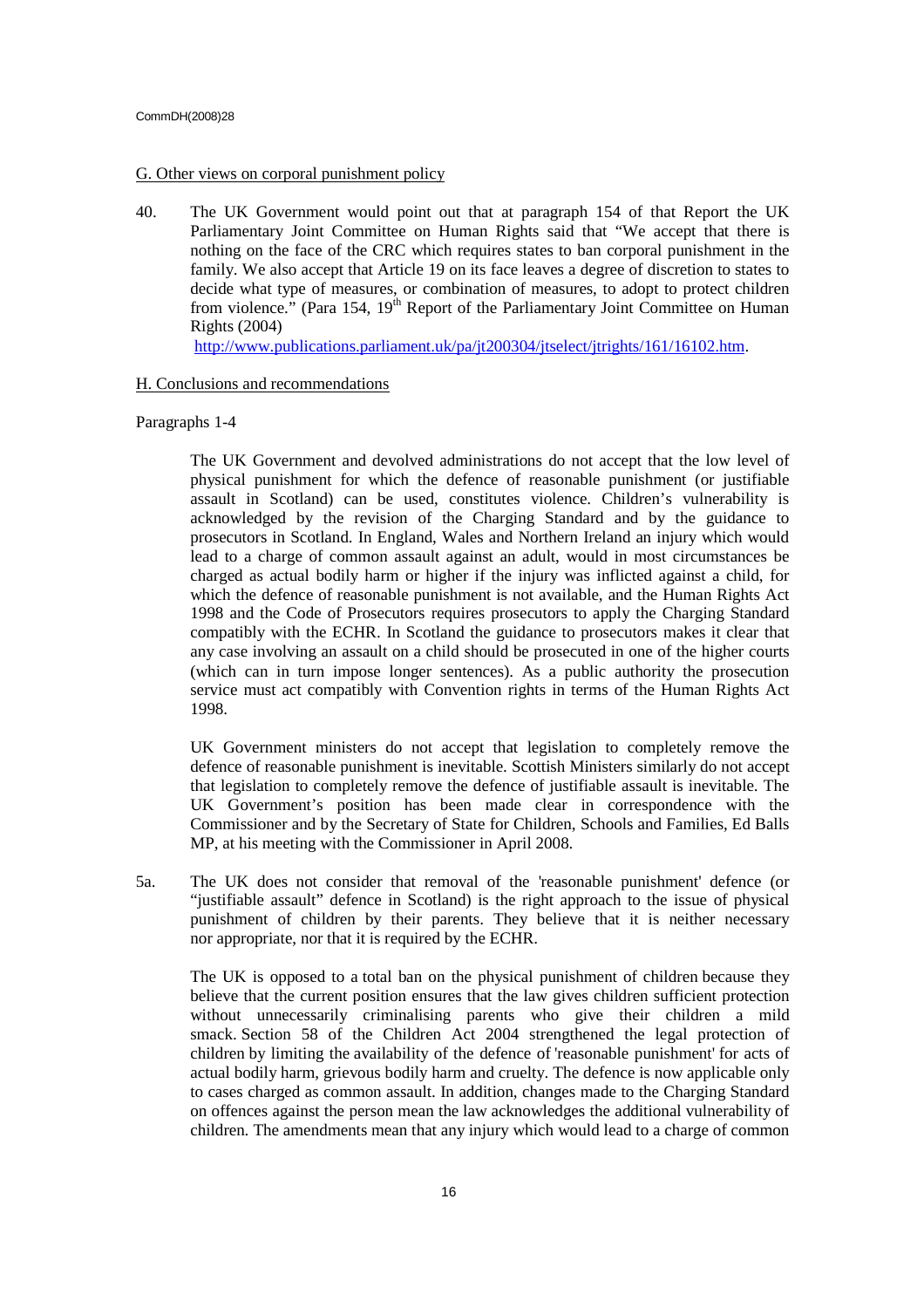#### CommDH(2008)28

# G. Other views on corporal punishment policy

40. The UK Government would point out that at paragraph 154 of that Report the UK Parliamentary Joint Committee on Human Rights said that "We accept that there is nothing on the face of the CRC which requires states to ban corporal punishment in the family. We also accept that Article 19 on its face leaves a degree of discretion to states to decide what type of measures, or combination of measures, to adopt to protect children from violence." (Para 154,  $19<sup>th</sup>$  Report of the Parliamentary Joint Committee on Human Rights (2004)

http://www.publications.parliament.uk/pa/jt200304/jtselect/jtrights/161/16102.htm.

# H. Conclusions and recommendations

# Paragraphs 1-4

 The UK Government and devolved administrations do not accept that the low level of physical punishment for which the defence of reasonable punishment (or justifiable assault in Scotland) can be used, constitutes violence. Children's vulnerability is acknowledged by the revision of the Charging Standard and by the guidance to prosecutors in Scotland. In England, Wales and Northern Ireland an injury which would lead to a charge of common assault against an adult, would in most circumstances be charged as actual bodily harm or higher if the injury was inflicted against a child, for which the defence of reasonable punishment is not available, and the Human Rights Act 1998 and the Code of Prosecutors requires prosecutors to apply the Charging Standard compatibly with the ECHR. In Scotland the guidance to prosecutors makes it clear that any case involving an assault on a child should be prosecuted in one of the higher courts (which can in turn impose longer sentences). As a public authority the prosecution service must act compatibly with Convention rights in terms of the Human Rights Act 1998.

UK Government ministers do not accept that legislation to completely remove the defence of reasonable punishment is inevitable. Scottish Ministers similarly do not accept that legislation to completely remove the defence of justifiable assault is inevitable. The UK Government's position has been made clear in correspondence with the Commissioner and by the Secretary of State for Children, Schools and Families, Ed Balls MP, at his meeting with the Commissioner in April 2008.

5a. The UK does not consider that removal of the 'reasonable punishment' defence (or "justifiable assault" defence in Scotland) is the right approach to the issue of physical punishment of children by their parents. They believe that it is neither necessary nor appropriate, nor that it is required by the ECHR.

The UK is opposed to a total ban on the physical punishment of children because they believe that the current position ensures that the law gives children sufficient protection without unnecessarily criminalising parents who give their children a mild smack. Section 58 of the Children Act 2004 strengthened the legal protection of children by limiting the availability of the defence of 'reasonable punishment' for acts of actual bodily harm, grievous bodily harm and cruelty. The defence is now applicable only to cases charged as common assault. In addition, changes made to the Charging Standard on offences against the person mean the law acknowledges the additional vulnerability of children. The amendments mean that any injury which would lead to a charge of common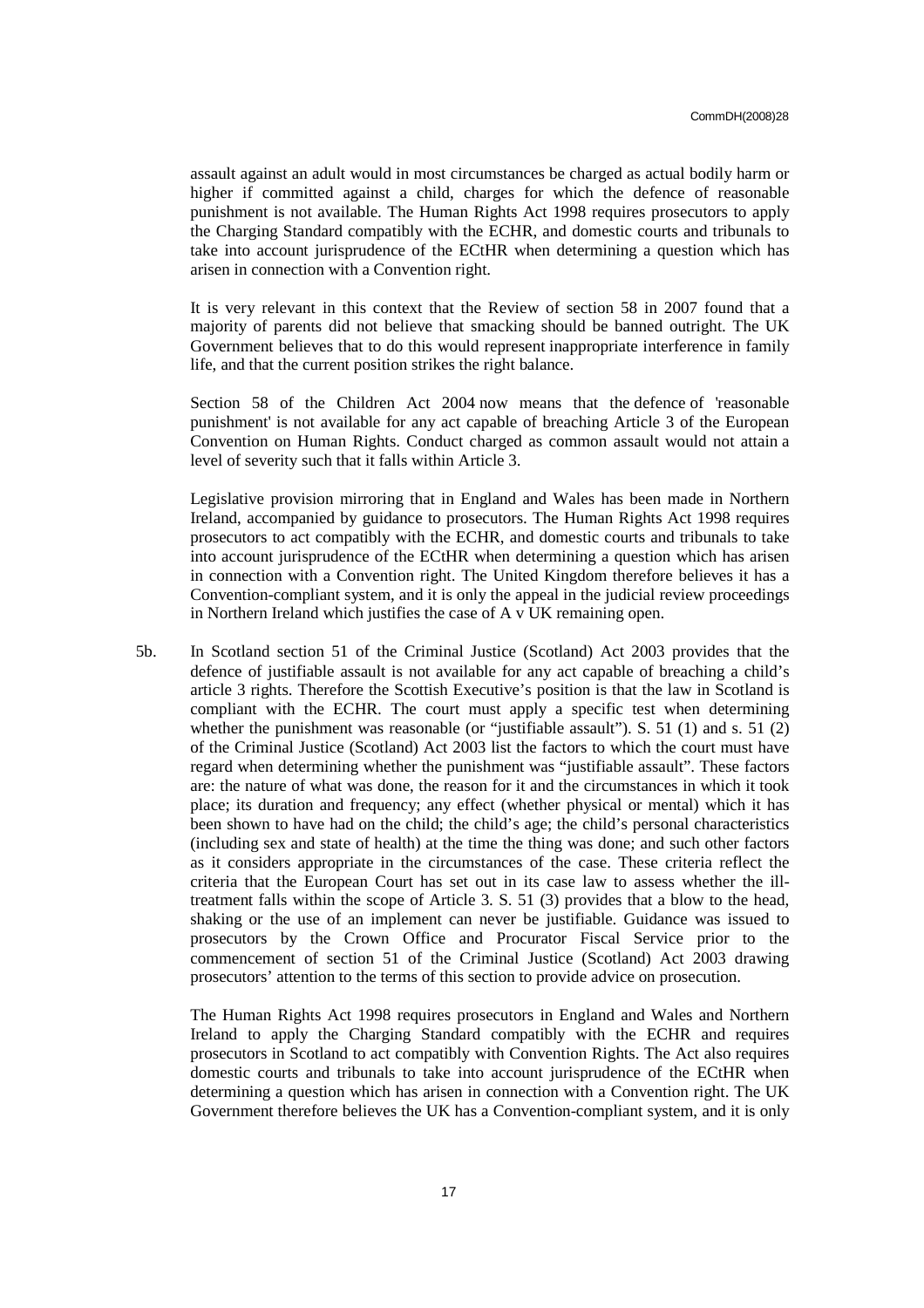assault against an adult would in most circumstances be charged as actual bodily harm or higher if committed against a child, charges for which the defence of reasonable punishment is not available. The Human Rights Act 1998 requires prosecutors to apply the Charging Standard compatibly with the ECHR, and domestic courts and tribunals to take into account jurisprudence of the ECtHR when determining a question which has arisen in connection with a Convention right.

It is very relevant in this context that the Review of section 58 in 2007 found that a majority of parents did not believe that smacking should be banned outright. The UK Government believes that to do this would represent inappropriate interference in family life, and that the current position strikes the right balance.

Section 58 of the Children Act 2004 now means that the defence of 'reasonable punishment' is not available for any act capable of breaching Article 3 of the European Convention on Human Rights. Conduct charged as common assault would not attain a level of severity such that it falls within Article 3.

Legislative provision mirroring that in England and Wales has been made in Northern Ireland, accompanied by guidance to prosecutors. The Human Rights Act 1998 requires prosecutors to act compatibly with the ECHR, and domestic courts and tribunals to take into account jurisprudence of the ECtHR when determining a question which has arisen in connection with a Convention right. The United Kingdom therefore believes it has a Convention-compliant system, and it is only the appeal in the judicial review proceedings in Northern Ireland which justifies the case of A v UK remaining open.

5b. In Scotland section 51 of the Criminal Justice (Scotland) Act 2003 provides that the defence of justifiable assault is not available for any act capable of breaching a child's article 3 rights. Therefore the Scottish Executive's position is that the law in Scotland is compliant with the ECHR. The court must apply a specific test when determining whether the punishment was reasonable (or "justifiable assault"). S.  $51$  (1) and s.  $51$  (2) of the Criminal Justice (Scotland) Act 2003 list the factors to which the court must have regard when determining whether the punishment was "justifiable assault". These factors are: the nature of what was done, the reason for it and the circumstances in which it took place; its duration and frequency; any effect (whether physical or mental) which it has been shown to have had on the child; the child's age; the child's personal characteristics (including sex and state of health) at the time the thing was done; and such other factors as it considers appropriate in the circumstances of the case. These criteria reflect the criteria that the European Court has set out in its case law to assess whether the illtreatment falls within the scope of Article 3. S. 51 (3) provides that a blow to the head, shaking or the use of an implement can never be justifiable. Guidance was issued to prosecutors by the Crown Office and Procurator Fiscal Service prior to the commencement of section 51 of the Criminal Justice (Scotland) Act 2003 drawing prosecutors' attention to the terms of this section to provide advice on prosecution.

The Human Rights Act 1998 requires prosecutors in England and Wales and Northern Ireland to apply the Charging Standard compatibly with the ECHR and requires prosecutors in Scotland to act compatibly with Convention Rights. The Act also requires domestic courts and tribunals to take into account jurisprudence of the ECtHR when determining a question which has arisen in connection with a Convention right. The UK Government therefore believes the UK has a Convention-compliant system, and it is only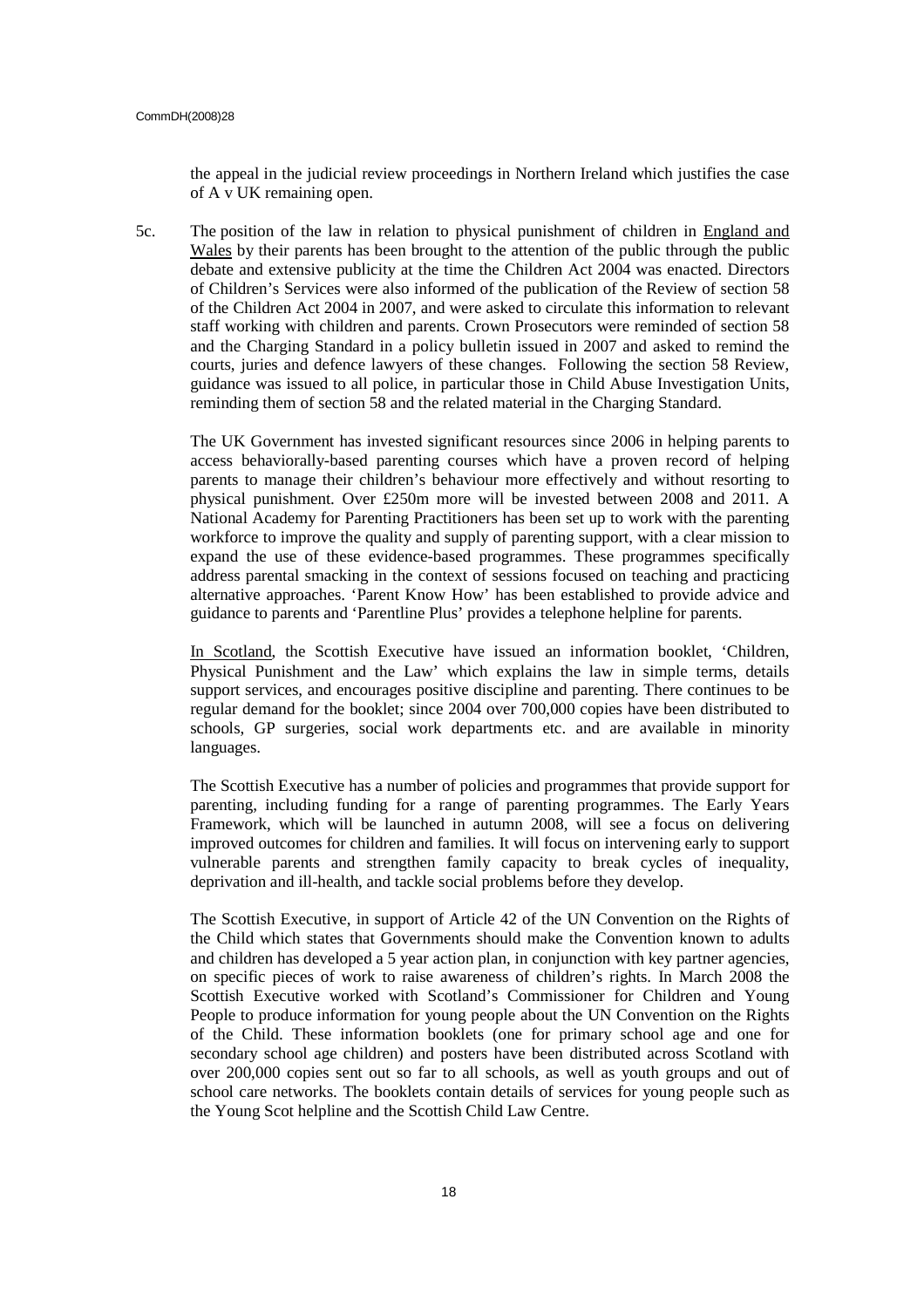the appeal in the judicial review proceedings in Northern Ireland which justifies the case of A v UK remaining open.

5c. The position of the law in relation to physical punishment of children in England and Wales by their parents has been brought to the attention of the public through the public debate and extensive publicity at the time the Children Act 2004 was enacted. Directors of Children's Services were also informed of the publication of the Review of section 58 of the Children Act 2004 in 2007, and were asked to circulate this information to relevant staff working with children and parents. Crown Prosecutors were reminded of section 58 and the Charging Standard in a policy bulletin issued in 2007 and asked to remind the courts, juries and defence lawyers of these changes. Following the section 58 Review, guidance was issued to all police, in particular those in Child Abuse Investigation Units, reminding them of section 58 and the related material in the Charging Standard.

The UK Government has invested significant resources since 2006 in helping parents to access behaviorally-based parenting courses which have a proven record of helping parents to manage their children's behaviour more effectively and without resorting to physical punishment. Over £250m more will be invested between 2008 and 2011. A National Academy for Parenting Practitioners has been set up to work with the parenting workforce to improve the quality and supply of parenting support, with a clear mission to expand the use of these evidence-based programmes. These programmes specifically address parental smacking in the context of sessions focused on teaching and practicing alternative approaches. 'Parent Know How' has been established to provide advice and guidance to parents and 'Parentline Plus' provides a telephone helpline for parents.

In Scotland, the Scottish Executive have issued an information booklet, 'Children, Physical Punishment and the Law' which explains the law in simple terms, details support services, and encourages positive discipline and parenting. There continues to be regular demand for the booklet; since 2004 over 700,000 copies have been distributed to schools, GP surgeries, social work departments etc. and are available in minority languages.

The Scottish Executive has a number of policies and programmes that provide support for parenting, including funding for a range of parenting programmes. The Early Years Framework, which will be launched in autumn 2008, will see a focus on delivering improved outcomes for children and families. It will focus on intervening early to support vulnerable parents and strengthen family capacity to break cycles of inequality, deprivation and ill-health, and tackle social problems before they develop.

The Scottish Executive, in support of Article 42 of the UN Convention on the Rights of the Child which states that Governments should make the Convention known to adults and children has developed a 5 year action plan, in conjunction with key partner agencies, on specific pieces of work to raise awareness of children's rights. In March 2008 the Scottish Executive worked with Scotland's Commissioner for Children and Young People to produce information for young people about the UN Convention on the Rights of the Child. These information booklets (one for primary school age and one for secondary school age children) and posters have been distributed across Scotland with over 200,000 copies sent out so far to all schools, as well as youth groups and out of school care networks. The booklets contain details of services for young people such as the Young Scot helpline and the Scottish Child Law Centre.